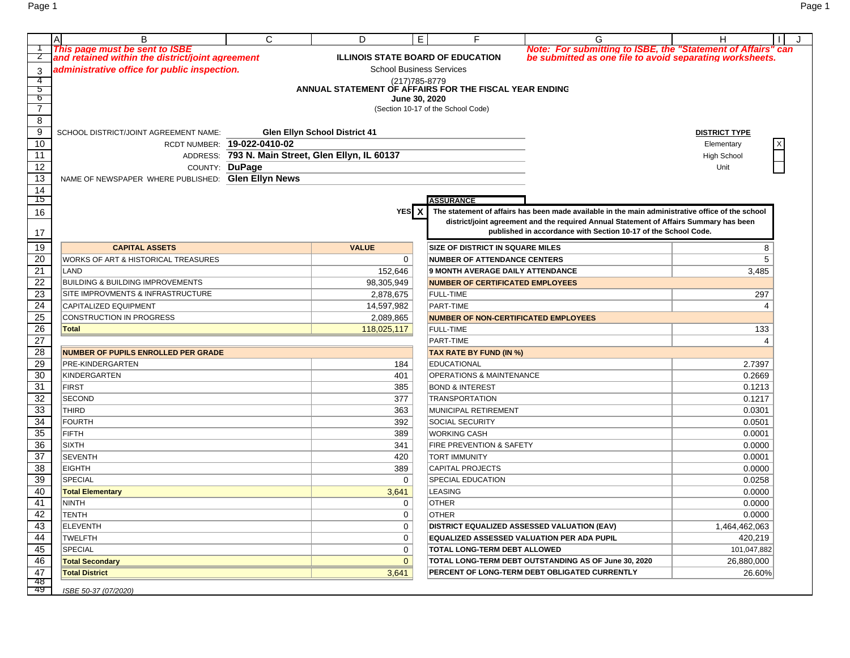| This page must be sent to ISBE<br>Note: For submitting to ISBE, the "Statement of Affairs" can<br>and retained within the district/joint agreement<br><b>ILLINOIS STATE BOARD OF EDUCATION</b><br>be submitted as one file to avoid separating worksheets.<br>$\mathbf{z}$<br>administrative office for public inspection.<br><b>School Business Services</b><br>3<br>4<br>(217) 785-8779<br>ANNUAL STATEMENT OF AFFAIRS FOR THE FISCAL YEAR ENDING<br>$\overline{\mathbf{5}}$<br>চ<br>June 30, 2020<br>$\overline{7}$<br>(Section 10-17 of the School Code)<br>$\overline{8}$<br>9<br><b>Glen Ellyn School District 41</b><br><b>DISTRICT TYPE</b><br>SCHOOL DISTRICT/JOINT AGREEMENT NAME:<br>10<br>RCDT NUMBER: 19-022-0410-02<br>Elementary<br>11<br>ADDRESS: 793 N. Main Street, Glen Ellyn, IL 60137<br><b>High School</b><br>12<br>COUNTY: DuPage<br>Unit<br>$\overline{13}$<br>NAME OF NEWSPAPER WHERE PUBLISHED: Glen Ellyn News<br>14<br><b>ASSURANCE</b><br>X<br>The statement of affairs has been made available in the main administrative office of the school<br><b>YES</b><br>16<br>district/joint agreement and the required Annual Statement of Affairs Summary has been<br>published in accordance with Section 10-17 of the School Code.<br>17<br>19<br>SIZE OF DISTRICT IN SQUARE MILES<br><b>CAPITAL ASSETS</b><br><b>VALUE</b><br>8<br>20<br><b>WORKS OF ART &amp; HISTORICAL TREASURES</b><br>$\mathbf 0$<br>5<br><b>NUMBER OF ATTENDANCE CENTERS</b><br>21<br>152,646<br>LAND<br><b>9 MONTH AVERAGE DAILY ATTENDANCE</b><br>3,485<br>22<br><b>BUILDING &amp; BUILDING IMPROVEMENTS</b><br>98,305,949<br><b>NUMBER OF CERTIFICATED EMPLOYEES</b><br>$\overline{23}$<br>SITE IMPROVMENTS & INFRASTRUCTURE<br>2,878,675<br><b>FULL-TIME</b><br>297<br>24<br><b>CAPITALIZED EQUIPMENT</b><br>14,597,982<br>PART-TIME<br>4<br>25<br>2,089,865<br>CONSTRUCTION IN PROGRESS<br><b>NUMBER OF NON-CERTIFICATED EMPLOYEES</b><br>$\overline{26}$<br>118,025,117<br><b>FULL-TIME</b><br>133<br>Total<br>27<br>PART-TIME<br>4<br>28<br><b>NUMBER OF PUPILS ENROLLED PER GRADE</b><br><b>TAX RATE BY FUND (IN %)</b><br>29<br>PRE-KINDERGARTEN<br>184<br><b>EDUCATIONAL</b><br>2.7397<br>30<br>KINDERGARTEN<br>401<br>0.2669<br><b>OPERATIONS &amp; MAINTENANCE</b><br>$\overline{31}$<br><b>FIRST</b><br>385<br><b>BOND &amp; INTEREST</b><br>0.1213<br>32<br>377<br><b>SECOND</b><br>0.1217<br><b>TRANSPORTATION</b><br>33<br><b>THIRD</b><br>363<br>MUNICIPAL RETIREMENT<br>0.0301<br>34<br><b>FOURTH</b><br>392<br><b>SOCIAL SECURITY</b><br>0.0501<br>35<br><b>FIFTH</b><br>389<br><b>WORKING CASH</b><br>0.0001<br>36<br><b>SIXTH</b><br>341<br>FIRE PREVENTION & SAFETY<br>0.0000<br>37<br><b>SEVENTH</b><br>420<br>0.0001<br><b>TORT IMMUNITY</b><br>38<br><b>EIGHTH</b><br>389<br><b>CAPITAL PROJECTS</b><br>0.0000<br>39<br><b>SPECIAL</b><br>$\mathbf 0$<br>SPECIAL EDUCATION<br>0.0258<br>40<br>3,641<br>LEASING<br>0.0000<br><b>Total Elementary</b><br>41<br>NINTH<br>0<br><b>OTHER</b><br>0.0000<br>42<br><b>TENTH</b><br>$\mathbf 0$<br><b>OTHER</b><br>0.0000<br>43<br>$\mathbf 0$<br>1,464,462,063<br>ELEVENTH<br>DISTRICT EQUALIZED ASSESSED VALUATION (EAV)<br>44<br>$\mathbf 0$<br><b>TWELFTH</b><br>420,219<br>EQUALIZED ASSESSED VALUATION PER ADA PUPIL<br>45<br>$\mathbf 0$<br><b>SPECIAL</b><br>TOTAL LONG-TERM DEBT ALLOWED<br>101,047,882<br>46<br>$\mathbf{0}$<br>TOTAL LONG-TERM DEBT OUTSTANDING AS OF June 30, 2020<br>26,880,000<br><b>Total Secondary</b><br>47<br>3,641<br><b>Total District</b><br>PERCENT OF LONG-TERM DEBT OBLIGATED CURRENTLY<br>26.60%<br>ISBE 50-37 (07/2020) |     | $\overline{A}$<br>B | C | D | E. | F | G | H | J |
|------------------------------------------------------------------------------------------------------------------------------------------------------------------------------------------------------------------------------------------------------------------------------------------------------------------------------------------------------------------------------------------------------------------------------------------------------------------------------------------------------------------------------------------------------------------------------------------------------------------------------------------------------------------------------------------------------------------------------------------------------------------------------------------------------------------------------------------------------------------------------------------------------------------------------------------------------------------------------------------------------------------------------------------------------------------------------------------------------------------------------------------------------------------------------------------------------------------------------------------------------------------------------------------------------------------------------------------------------------------------------------------------------------------------------------------------------------------------------------------------------------------------------------------------------------------------------------------------------------------------------------------------------------------------------------------------------------------------------------------------------------------------------------------------------------------------------------------------------------------------------------------------------------------------------------------------------------------------------------------------------------------------------------------------------------------------------------------------------------------------------------------------------------------------------------------------------------------------------------------------------------------------------------------------------------------------------------------------------------------------------------------------------------------------------------------------------------------------------------------------------------------------------------------------------------------------------------------------------------------------------------------------------------------------------------------------------------------------------------------------------------------------------------------------------------------------------------------------------------------------------------------------------------------------------------------------------------------------------------------------------------------------------------------------------------------------------------------------------------------------------------------------------------------------------------------------------------------------------------------------------------------------------------------------------------------------------------------------------------------------------------------------------------------------------------------------------------------------------------------------------------------------------------------------------------------------------------------------------------------------------------|-----|---------------------|---|---|----|---|---|---|---|
|                                                                                                                                                                                                                                                                                                                                                                                                                                                                                                                                                                                                                                                                                                                                                                                                                                                                                                                                                                                                                                                                                                                                                                                                                                                                                                                                                                                                                                                                                                                                                                                                                                                                                                                                                                                                                                                                                                                                                                                                                                                                                                                                                                                                                                                                                                                                                                                                                                                                                                                                                                                                                                                                                                                                                                                                                                                                                                                                                                                                                                                                                                                                                                                                                                                                                                                                                                                                                                                                                                                                                                                                                                    |     |                     |   |   |    |   |   |   |   |
|                                                                                                                                                                                                                                                                                                                                                                                                                                                                                                                                                                                                                                                                                                                                                                                                                                                                                                                                                                                                                                                                                                                                                                                                                                                                                                                                                                                                                                                                                                                                                                                                                                                                                                                                                                                                                                                                                                                                                                                                                                                                                                                                                                                                                                                                                                                                                                                                                                                                                                                                                                                                                                                                                                                                                                                                                                                                                                                                                                                                                                                                                                                                                                                                                                                                                                                                                                                                                                                                                                                                                                                                                                    |     |                     |   |   |    |   |   |   |   |
|                                                                                                                                                                                                                                                                                                                                                                                                                                                                                                                                                                                                                                                                                                                                                                                                                                                                                                                                                                                                                                                                                                                                                                                                                                                                                                                                                                                                                                                                                                                                                                                                                                                                                                                                                                                                                                                                                                                                                                                                                                                                                                                                                                                                                                                                                                                                                                                                                                                                                                                                                                                                                                                                                                                                                                                                                                                                                                                                                                                                                                                                                                                                                                                                                                                                                                                                                                                                                                                                                                                                                                                                                                    |     |                     |   |   |    |   |   |   |   |
|                                                                                                                                                                                                                                                                                                                                                                                                                                                                                                                                                                                                                                                                                                                                                                                                                                                                                                                                                                                                                                                                                                                                                                                                                                                                                                                                                                                                                                                                                                                                                                                                                                                                                                                                                                                                                                                                                                                                                                                                                                                                                                                                                                                                                                                                                                                                                                                                                                                                                                                                                                                                                                                                                                                                                                                                                                                                                                                                                                                                                                                                                                                                                                                                                                                                                                                                                                                                                                                                                                                                                                                                                                    |     |                     |   |   |    |   |   |   |   |
|                                                                                                                                                                                                                                                                                                                                                                                                                                                                                                                                                                                                                                                                                                                                                                                                                                                                                                                                                                                                                                                                                                                                                                                                                                                                                                                                                                                                                                                                                                                                                                                                                                                                                                                                                                                                                                                                                                                                                                                                                                                                                                                                                                                                                                                                                                                                                                                                                                                                                                                                                                                                                                                                                                                                                                                                                                                                                                                                                                                                                                                                                                                                                                                                                                                                                                                                                                                                                                                                                                                                                                                                                                    |     |                     |   |   |    |   |   |   |   |
|                                                                                                                                                                                                                                                                                                                                                                                                                                                                                                                                                                                                                                                                                                                                                                                                                                                                                                                                                                                                                                                                                                                                                                                                                                                                                                                                                                                                                                                                                                                                                                                                                                                                                                                                                                                                                                                                                                                                                                                                                                                                                                                                                                                                                                                                                                                                                                                                                                                                                                                                                                                                                                                                                                                                                                                                                                                                                                                                                                                                                                                                                                                                                                                                                                                                                                                                                                                                                                                                                                                                                                                                                                    |     |                     |   |   |    |   |   |   |   |
|                                                                                                                                                                                                                                                                                                                                                                                                                                                                                                                                                                                                                                                                                                                                                                                                                                                                                                                                                                                                                                                                                                                                                                                                                                                                                                                                                                                                                                                                                                                                                                                                                                                                                                                                                                                                                                                                                                                                                                                                                                                                                                                                                                                                                                                                                                                                                                                                                                                                                                                                                                                                                                                                                                                                                                                                                                                                                                                                                                                                                                                                                                                                                                                                                                                                                                                                                                                                                                                                                                                                                                                                                                    |     |                     |   |   |    |   |   |   |   |
|                                                                                                                                                                                                                                                                                                                                                                                                                                                                                                                                                                                                                                                                                                                                                                                                                                                                                                                                                                                                                                                                                                                                                                                                                                                                                                                                                                                                                                                                                                                                                                                                                                                                                                                                                                                                                                                                                                                                                                                                                                                                                                                                                                                                                                                                                                                                                                                                                                                                                                                                                                                                                                                                                                                                                                                                                                                                                                                                                                                                                                                                                                                                                                                                                                                                                                                                                                                                                                                                                                                                                                                                                                    |     |                     |   |   |    |   |   |   |   |
|                                                                                                                                                                                                                                                                                                                                                                                                                                                                                                                                                                                                                                                                                                                                                                                                                                                                                                                                                                                                                                                                                                                                                                                                                                                                                                                                                                                                                                                                                                                                                                                                                                                                                                                                                                                                                                                                                                                                                                                                                                                                                                                                                                                                                                                                                                                                                                                                                                                                                                                                                                                                                                                                                                                                                                                                                                                                                                                                                                                                                                                                                                                                                                                                                                                                                                                                                                                                                                                                                                                                                                                                                                    |     |                     |   |   |    |   |   |   |   |
|                                                                                                                                                                                                                                                                                                                                                                                                                                                                                                                                                                                                                                                                                                                                                                                                                                                                                                                                                                                                                                                                                                                                                                                                                                                                                                                                                                                                                                                                                                                                                                                                                                                                                                                                                                                                                                                                                                                                                                                                                                                                                                                                                                                                                                                                                                                                                                                                                                                                                                                                                                                                                                                                                                                                                                                                                                                                                                                                                                                                                                                                                                                                                                                                                                                                                                                                                                                                                                                                                                                                                                                                                                    |     |                     |   |   |    |   |   |   |   |
|                                                                                                                                                                                                                                                                                                                                                                                                                                                                                                                                                                                                                                                                                                                                                                                                                                                                                                                                                                                                                                                                                                                                                                                                                                                                                                                                                                                                                                                                                                                                                                                                                                                                                                                                                                                                                                                                                                                                                                                                                                                                                                                                                                                                                                                                                                                                                                                                                                                                                                                                                                                                                                                                                                                                                                                                                                                                                                                                                                                                                                                                                                                                                                                                                                                                                                                                                                                                                                                                                                                                                                                                                                    |     |                     |   |   |    |   |   |   |   |
|                                                                                                                                                                                                                                                                                                                                                                                                                                                                                                                                                                                                                                                                                                                                                                                                                                                                                                                                                                                                                                                                                                                                                                                                                                                                                                                                                                                                                                                                                                                                                                                                                                                                                                                                                                                                                                                                                                                                                                                                                                                                                                                                                                                                                                                                                                                                                                                                                                                                                                                                                                                                                                                                                                                                                                                                                                                                                                                                                                                                                                                                                                                                                                                                                                                                                                                                                                                                                                                                                                                                                                                                                                    |     |                     |   |   |    |   |   |   |   |
|                                                                                                                                                                                                                                                                                                                                                                                                                                                                                                                                                                                                                                                                                                                                                                                                                                                                                                                                                                                                                                                                                                                                                                                                                                                                                                                                                                                                                                                                                                                                                                                                                                                                                                                                                                                                                                                                                                                                                                                                                                                                                                                                                                                                                                                                                                                                                                                                                                                                                                                                                                                                                                                                                                                                                                                                                                                                                                                                                                                                                                                                                                                                                                                                                                                                                                                                                                                                                                                                                                                                                                                                                                    |     |                     |   |   |    |   |   |   |   |
|                                                                                                                                                                                                                                                                                                                                                                                                                                                                                                                                                                                                                                                                                                                                                                                                                                                                                                                                                                                                                                                                                                                                                                                                                                                                                                                                                                                                                                                                                                                                                                                                                                                                                                                                                                                                                                                                                                                                                                                                                                                                                                                                                                                                                                                                                                                                                                                                                                                                                                                                                                                                                                                                                                                                                                                                                                                                                                                                                                                                                                                                                                                                                                                                                                                                                                                                                                                                                                                                                                                                                                                                                                    | া5  |                     |   |   |    |   |   |   |   |
|                                                                                                                                                                                                                                                                                                                                                                                                                                                                                                                                                                                                                                                                                                                                                                                                                                                                                                                                                                                                                                                                                                                                                                                                                                                                                                                                                                                                                                                                                                                                                                                                                                                                                                                                                                                                                                                                                                                                                                                                                                                                                                                                                                                                                                                                                                                                                                                                                                                                                                                                                                                                                                                                                                                                                                                                                                                                                                                                                                                                                                                                                                                                                                                                                                                                                                                                                                                                                                                                                                                                                                                                                                    |     |                     |   |   |    |   |   |   |   |
|                                                                                                                                                                                                                                                                                                                                                                                                                                                                                                                                                                                                                                                                                                                                                                                                                                                                                                                                                                                                                                                                                                                                                                                                                                                                                                                                                                                                                                                                                                                                                                                                                                                                                                                                                                                                                                                                                                                                                                                                                                                                                                                                                                                                                                                                                                                                                                                                                                                                                                                                                                                                                                                                                                                                                                                                                                                                                                                                                                                                                                                                                                                                                                                                                                                                                                                                                                                                                                                                                                                                                                                                                                    |     |                     |   |   |    |   |   |   |   |
|                                                                                                                                                                                                                                                                                                                                                                                                                                                                                                                                                                                                                                                                                                                                                                                                                                                                                                                                                                                                                                                                                                                                                                                                                                                                                                                                                                                                                                                                                                                                                                                                                                                                                                                                                                                                                                                                                                                                                                                                                                                                                                                                                                                                                                                                                                                                                                                                                                                                                                                                                                                                                                                                                                                                                                                                                                                                                                                                                                                                                                                                                                                                                                                                                                                                                                                                                                                                                                                                                                                                                                                                                                    |     |                     |   |   |    |   |   |   |   |
|                                                                                                                                                                                                                                                                                                                                                                                                                                                                                                                                                                                                                                                                                                                                                                                                                                                                                                                                                                                                                                                                                                                                                                                                                                                                                                                                                                                                                                                                                                                                                                                                                                                                                                                                                                                                                                                                                                                                                                                                                                                                                                                                                                                                                                                                                                                                                                                                                                                                                                                                                                                                                                                                                                                                                                                                                                                                                                                                                                                                                                                                                                                                                                                                                                                                                                                                                                                                                                                                                                                                                                                                                                    |     |                     |   |   |    |   |   |   |   |
|                                                                                                                                                                                                                                                                                                                                                                                                                                                                                                                                                                                                                                                                                                                                                                                                                                                                                                                                                                                                                                                                                                                                                                                                                                                                                                                                                                                                                                                                                                                                                                                                                                                                                                                                                                                                                                                                                                                                                                                                                                                                                                                                                                                                                                                                                                                                                                                                                                                                                                                                                                                                                                                                                                                                                                                                                                                                                                                                                                                                                                                                                                                                                                                                                                                                                                                                                                                                                                                                                                                                                                                                                                    |     |                     |   |   |    |   |   |   |   |
|                                                                                                                                                                                                                                                                                                                                                                                                                                                                                                                                                                                                                                                                                                                                                                                                                                                                                                                                                                                                                                                                                                                                                                                                                                                                                                                                                                                                                                                                                                                                                                                                                                                                                                                                                                                                                                                                                                                                                                                                                                                                                                                                                                                                                                                                                                                                                                                                                                                                                                                                                                                                                                                                                                                                                                                                                                                                                                                                                                                                                                                                                                                                                                                                                                                                                                                                                                                                                                                                                                                                                                                                                                    |     |                     |   |   |    |   |   |   |   |
|                                                                                                                                                                                                                                                                                                                                                                                                                                                                                                                                                                                                                                                                                                                                                                                                                                                                                                                                                                                                                                                                                                                                                                                                                                                                                                                                                                                                                                                                                                                                                                                                                                                                                                                                                                                                                                                                                                                                                                                                                                                                                                                                                                                                                                                                                                                                                                                                                                                                                                                                                                                                                                                                                                                                                                                                                                                                                                                                                                                                                                                                                                                                                                                                                                                                                                                                                                                                                                                                                                                                                                                                                                    |     |                     |   |   |    |   |   |   |   |
|                                                                                                                                                                                                                                                                                                                                                                                                                                                                                                                                                                                                                                                                                                                                                                                                                                                                                                                                                                                                                                                                                                                                                                                                                                                                                                                                                                                                                                                                                                                                                                                                                                                                                                                                                                                                                                                                                                                                                                                                                                                                                                                                                                                                                                                                                                                                                                                                                                                                                                                                                                                                                                                                                                                                                                                                                                                                                                                                                                                                                                                                                                                                                                                                                                                                                                                                                                                                                                                                                                                                                                                                                                    |     |                     |   |   |    |   |   |   |   |
|                                                                                                                                                                                                                                                                                                                                                                                                                                                                                                                                                                                                                                                                                                                                                                                                                                                                                                                                                                                                                                                                                                                                                                                                                                                                                                                                                                                                                                                                                                                                                                                                                                                                                                                                                                                                                                                                                                                                                                                                                                                                                                                                                                                                                                                                                                                                                                                                                                                                                                                                                                                                                                                                                                                                                                                                                                                                                                                                                                                                                                                                                                                                                                                                                                                                                                                                                                                                                                                                                                                                                                                                                                    |     |                     |   |   |    |   |   |   |   |
|                                                                                                                                                                                                                                                                                                                                                                                                                                                                                                                                                                                                                                                                                                                                                                                                                                                                                                                                                                                                                                                                                                                                                                                                                                                                                                                                                                                                                                                                                                                                                                                                                                                                                                                                                                                                                                                                                                                                                                                                                                                                                                                                                                                                                                                                                                                                                                                                                                                                                                                                                                                                                                                                                                                                                                                                                                                                                                                                                                                                                                                                                                                                                                                                                                                                                                                                                                                                                                                                                                                                                                                                                                    |     |                     |   |   |    |   |   |   |   |
|                                                                                                                                                                                                                                                                                                                                                                                                                                                                                                                                                                                                                                                                                                                                                                                                                                                                                                                                                                                                                                                                                                                                                                                                                                                                                                                                                                                                                                                                                                                                                                                                                                                                                                                                                                                                                                                                                                                                                                                                                                                                                                                                                                                                                                                                                                                                                                                                                                                                                                                                                                                                                                                                                                                                                                                                                                                                                                                                                                                                                                                                                                                                                                                                                                                                                                                                                                                                                                                                                                                                                                                                                                    |     |                     |   |   |    |   |   |   |   |
|                                                                                                                                                                                                                                                                                                                                                                                                                                                                                                                                                                                                                                                                                                                                                                                                                                                                                                                                                                                                                                                                                                                                                                                                                                                                                                                                                                                                                                                                                                                                                                                                                                                                                                                                                                                                                                                                                                                                                                                                                                                                                                                                                                                                                                                                                                                                                                                                                                                                                                                                                                                                                                                                                                                                                                                                                                                                                                                                                                                                                                                                                                                                                                                                                                                                                                                                                                                                                                                                                                                                                                                                                                    |     |                     |   |   |    |   |   |   |   |
|                                                                                                                                                                                                                                                                                                                                                                                                                                                                                                                                                                                                                                                                                                                                                                                                                                                                                                                                                                                                                                                                                                                                                                                                                                                                                                                                                                                                                                                                                                                                                                                                                                                                                                                                                                                                                                                                                                                                                                                                                                                                                                                                                                                                                                                                                                                                                                                                                                                                                                                                                                                                                                                                                                                                                                                                                                                                                                                                                                                                                                                                                                                                                                                                                                                                                                                                                                                                                                                                                                                                                                                                                                    |     |                     |   |   |    |   |   |   |   |
|                                                                                                                                                                                                                                                                                                                                                                                                                                                                                                                                                                                                                                                                                                                                                                                                                                                                                                                                                                                                                                                                                                                                                                                                                                                                                                                                                                                                                                                                                                                                                                                                                                                                                                                                                                                                                                                                                                                                                                                                                                                                                                                                                                                                                                                                                                                                                                                                                                                                                                                                                                                                                                                                                                                                                                                                                                                                                                                                                                                                                                                                                                                                                                                                                                                                                                                                                                                                                                                                                                                                                                                                                                    |     |                     |   |   |    |   |   |   |   |
|                                                                                                                                                                                                                                                                                                                                                                                                                                                                                                                                                                                                                                                                                                                                                                                                                                                                                                                                                                                                                                                                                                                                                                                                                                                                                                                                                                                                                                                                                                                                                                                                                                                                                                                                                                                                                                                                                                                                                                                                                                                                                                                                                                                                                                                                                                                                                                                                                                                                                                                                                                                                                                                                                                                                                                                                                                                                                                                                                                                                                                                                                                                                                                                                                                                                                                                                                                                                                                                                                                                                                                                                                                    |     |                     |   |   |    |   |   |   |   |
|                                                                                                                                                                                                                                                                                                                                                                                                                                                                                                                                                                                                                                                                                                                                                                                                                                                                                                                                                                                                                                                                                                                                                                                                                                                                                                                                                                                                                                                                                                                                                                                                                                                                                                                                                                                                                                                                                                                                                                                                                                                                                                                                                                                                                                                                                                                                                                                                                                                                                                                                                                                                                                                                                                                                                                                                                                                                                                                                                                                                                                                                                                                                                                                                                                                                                                                                                                                                                                                                                                                                                                                                                                    |     |                     |   |   |    |   |   |   |   |
|                                                                                                                                                                                                                                                                                                                                                                                                                                                                                                                                                                                                                                                                                                                                                                                                                                                                                                                                                                                                                                                                                                                                                                                                                                                                                                                                                                                                                                                                                                                                                                                                                                                                                                                                                                                                                                                                                                                                                                                                                                                                                                                                                                                                                                                                                                                                                                                                                                                                                                                                                                                                                                                                                                                                                                                                                                                                                                                                                                                                                                                                                                                                                                                                                                                                                                                                                                                                                                                                                                                                                                                                                                    |     |                     |   |   |    |   |   |   |   |
|                                                                                                                                                                                                                                                                                                                                                                                                                                                                                                                                                                                                                                                                                                                                                                                                                                                                                                                                                                                                                                                                                                                                                                                                                                                                                                                                                                                                                                                                                                                                                                                                                                                                                                                                                                                                                                                                                                                                                                                                                                                                                                                                                                                                                                                                                                                                                                                                                                                                                                                                                                                                                                                                                                                                                                                                                                                                                                                                                                                                                                                                                                                                                                                                                                                                                                                                                                                                                                                                                                                                                                                                                                    |     |                     |   |   |    |   |   |   |   |
|                                                                                                                                                                                                                                                                                                                                                                                                                                                                                                                                                                                                                                                                                                                                                                                                                                                                                                                                                                                                                                                                                                                                                                                                                                                                                                                                                                                                                                                                                                                                                                                                                                                                                                                                                                                                                                                                                                                                                                                                                                                                                                                                                                                                                                                                                                                                                                                                                                                                                                                                                                                                                                                                                                                                                                                                                                                                                                                                                                                                                                                                                                                                                                                                                                                                                                                                                                                                                                                                                                                                                                                                                                    |     |                     |   |   |    |   |   |   |   |
|                                                                                                                                                                                                                                                                                                                                                                                                                                                                                                                                                                                                                                                                                                                                                                                                                                                                                                                                                                                                                                                                                                                                                                                                                                                                                                                                                                                                                                                                                                                                                                                                                                                                                                                                                                                                                                                                                                                                                                                                                                                                                                                                                                                                                                                                                                                                                                                                                                                                                                                                                                                                                                                                                                                                                                                                                                                                                                                                                                                                                                                                                                                                                                                                                                                                                                                                                                                                                                                                                                                                                                                                                                    |     |                     |   |   |    |   |   |   |   |
|                                                                                                                                                                                                                                                                                                                                                                                                                                                                                                                                                                                                                                                                                                                                                                                                                                                                                                                                                                                                                                                                                                                                                                                                                                                                                                                                                                                                                                                                                                                                                                                                                                                                                                                                                                                                                                                                                                                                                                                                                                                                                                                                                                                                                                                                                                                                                                                                                                                                                                                                                                                                                                                                                                                                                                                                                                                                                                                                                                                                                                                                                                                                                                                                                                                                                                                                                                                                                                                                                                                                                                                                                                    |     |                     |   |   |    |   |   |   |   |
|                                                                                                                                                                                                                                                                                                                                                                                                                                                                                                                                                                                                                                                                                                                                                                                                                                                                                                                                                                                                                                                                                                                                                                                                                                                                                                                                                                                                                                                                                                                                                                                                                                                                                                                                                                                                                                                                                                                                                                                                                                                                                                                                                                                                                                                                                                                                                                                                                                                                                                                                                                                                                                                                                                                                                                                                                                                                                                                                                                                                                                                                                                                                                                                                                                                                                                                                                                                                                                                                                                                                                                                                                                    |     |                     |   |   |    |   |   |   |   |
|                                                                                                                                                                                                                                                                                                                                                                                                                                                                                                                                                                                                                                                                                                                                                                                                                                                                                                                                                                                                                                                                                                                                                                                                                                                                                                                                                                                                                                                                                                                                                                                                                                                                                                                                                                                                                                                                                                                                                                                                                                                                                                                                                                                                                                                                                                                                                                                                                                                                                                                                                                                                                                                                                                                                                                                                                                                                                                                                                                                                                                                                                                                                                                                                                                                                                                                                                                                                                                                                                                                                                                                                                                    |     |                     |   |   |    |   |   |   |   |
|                                                                                                                                                                                                                                                                                                                                                                                                                                                                                                                                                                                                                                                                                                                                                                                                                                                                                                                                                                                                                                                                                                                                                                                                                                                                                                                                                                                                                                                                                                                                                                                                                                                                                                                                                                                                                                                                                                                                                                                                                                                                                                                                                                                                                                                                                                                                                                                                                                                                                                                                                                                                                                                                                                                                                                                                                                                                                                                                                                                                                                                                                                                                                                                                                                                                                                                                                                                                                                                                                                                                                                                                                                    |     |                     |   |   |    |   |   |   |   |
|                                                                                                                                                                                                                                                                                                                                                                                                                                                                                                                                                                                                                                                                                                                                                                                                                                                                                                                                                                                                                                                                                                                                                                                                                                                                                                                                                                                                                                                                                                                                                                                                                                                                                                                                                                                                                                                                                                                                                                                                                                                                                                                                                                                                                                                                                                                                                                                                                                                                                                                                                                                                                                                                                                                                                                                                                                                                                                                                                                                                                                                                                                                                                                                                                                                                                                                                                                                                                                                                                                                                                                                                                                    |     |                     |   |   |    |   |   |   |   |
|                                                                                                                                                                                                                                                                                                                                                                                                                                                                                                                                                                                                                                                                                                                                                                                                                                                                                                                                                                                                                                                                                                                                                                                                                                                                                                                                                                                                                                                                                                                                                                                                                                                                                                                                                                                                                                                                                                                                                                                                                                                                                                                                                                                                                                                                                                                                                                                                                                                                                                                                                                                                                                                                                                                                                                                                                                                                                                                                                                                                                                                                                                                                                                                                                                                                                                                                                                                                                                                                                                                                                                                                                                    |     |                     |   |   |    |   |   |   |   |
|                                                                                                                                                                                                                                                                                                                                                                                                                                                                                                                                                                                                                                                                                                                                                                                                                                                                                                                                                                                                                                                                                                                                                                                                                                                                                                                                                                                                                                                                                                                                                                                                                                                                                                                                                                                                                                                                                                                                                                                                                                                                                                                                                                                                                                                                                                                                                                                                                                                                                                                                                                                                                                                                                                                                                                                                                                                                                                                                                                                                                                                                                                                                                                                                                                                                                                                                                                                                                                                                                                                                                                                                                                    |     |                     |   |   |    |   |   |   |   |
|                                                                                                                                                                                                                                                                                                                                                                                                                                                                                                                                                                                                                                                                                                                                                                                                                                                                                                                                                                                                                                                                                                                                                                                                                                                                                                                                                                                                                                                                                                                                                                                                                                                                                                                                                                                                                                                                                                                                                                                                                                                                                                                                                                                                                                                                                                                                                                                                                                                                                                                                                                                                                                                                                                                                                                                                                                                                                                                                                                                                                                                                                                                                                                                                                                                                                                                                                                                                                                                                                                                                                                                                                                    |     |                     |   |   |    |   |   |   |   |
|                                                                                                                                                                                                                                                                                                                                                                                                                                                                                                                                                                                                                                                                                                                                                                                                                                                                                                                                                                                                                                                                                                                                                                                                                                                                                                                                                                                                                                                                                                                                                                                                                                                                                                                                                                                                                                                                                                                                                                                                                                                                                                                                                                                                                                                                                                                                                                                                                                                                                                                                                                                                                                                                                                                                                                                                                                                                                                                                                                                                                                                                                                                                                                                                                                                                                                                                                                                                                                                                                                                                                                                                                                    |     |                     |   |   |    |   |   |   |   |
|                                                                                                                                                                                                                                                                                                                                                                                                                                                                                                                                                                                                                                                                                                                                                                                                                                                                                                                                                                                                                                                                                                                                                                                                                                                                                                                                                                                                                                                                                                                                                                                                                                                                                                                                                                                                                                                                                                                                                                                                                                                                                                                                                                                                                                                                                                                                                                                                                                                                                                                                                                                                                                                                                                                                                                                                                                                                                                                                                                                                                                                                                                                                                                                                                                                                                                                                                                                                                                                                                                                                                                                                                                    |     |                     |   |   |    |   |   |   |   |
|                                                                                                                                                                                                                                                                                                                                                                                                                                                                                                                                                                                                                                                                                                                                                                                                                                                                                                                                                                                                                                                                                                                                                                                                                                                                                                                                                                                                                                                                                                                                                                                                                                                                                                                                                                                                                                                                                                                                                                                                                                                                                                                                                                                                                                                                                                                                                                                                                                                                                                                                                                                                                                                                                                                                                                                                                                                                                                                                                                                                                                                                                                                                                                                                                                                                                                                                                                                                                                                                                                                                                                                                                                    |     |                     |   |   |    |   |   |   |   |
|                                                                                                                                                                                                                                                                                                                                                                                                                                                                                                                                                                                                                                                                                                                                                                                                                                                                                                                                                                                                                                                                                                                                                                                                                                                                                                                                                                                                                                                                                                                                                                                                                                                                                                                                                                                                                                                                                                                                                                                                                                                                                                                                                                                                                                                                                                                                                                                                                                                                                                                                                                                                                                                                                                                                                                                                                                                                                                                                                                                                                                                                                                                                                                                                                                                                                                                                                                                                                                                                                                                                                                                                                                    |     |                     |   |   |    |   |   |   |   |
|                                                                                                                                                                                                                                                                                                                                                                                                                                                                                                                                                                                                                                                                                                                                                                                                                                                                                                                                                                                                                                                                                                                                                                                                                                                                                                                                                                                                                                                                                                                                                                                                                                                                                                                                                                                                                                                                                                                                                                                                                                                                                                                                                                                                                                                                                                                                                                                                                                                                                                                                                                                                                                                                                                                                                                                                                                                                                                                                                                                                                                                                                                                                                                                                                                                                                                                                                                                                                                                                                                                                                                                                                                    | -48 |                     |   |   |    |   |   |   |   |
|                                                                                                                                                                                                                                                                                                                                                                                                                                                                                                                                                                                                                                                                                                                                                                                                                                                                                                                                                                                                                                                                                                                                                                                                                                                                                                                                                                                                                                                                                                                                                                                                                                                                                                                                                                                                                                                                                                                                                                                                                                                                                                                                                                                                                                                                                                                                                                                                                                                                                                                                                                                                                                                                                                                                                                                                                                                                                                                                                                                                                                                                                                                                                                                                                                                                                                                                                                                                                                                                                                                                                                                                                                    | -49 |                     |   |   |    |   |   |   |   |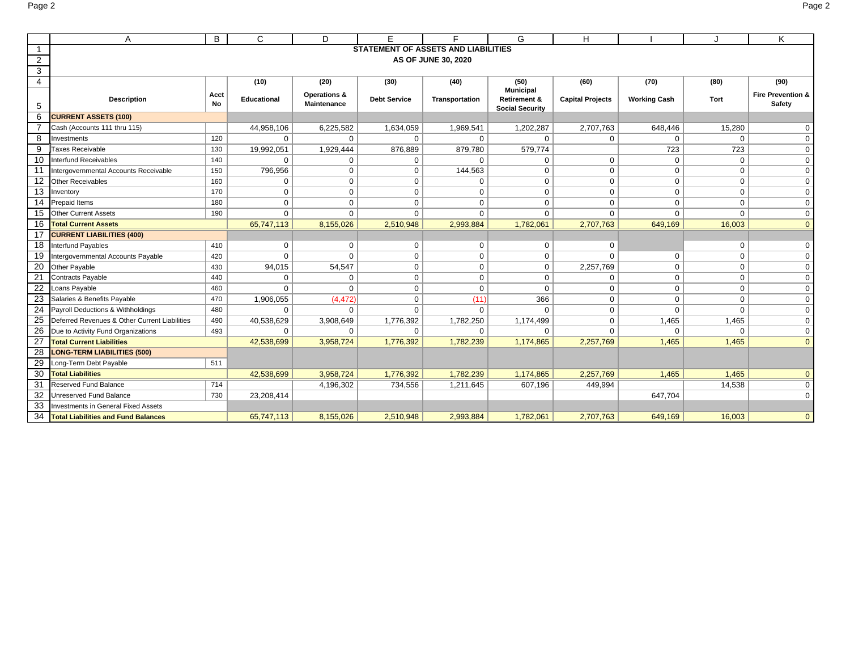| Page 2 | Page 2 |
|--------|--------|
|        |        |

|                | A                                             | B         | C           | D                  | Е                   |                                            | G                                | H                       |                     |             | Κ                            |
|----------------|-----------------------------------------------|-----------|-------------|--------------------|---------------------|--------------------------------------------|----------------------------------|-------------------------|---------------------|-------------|------------------------------|
| -1             |                                               |           |             |                    |                     | <b>STATEMENT OF ASSETS AND LIABILITIES</b> |                                  |                         |                     |             |                              |
| $\overline{2}$ |                                               |           |             |                    |                     | AS OF JUNE 30, 2020                        |                                  |                         |                     |             |                              |
| 3              |                                               |           |             |                    |                     |                                            |                                  |                         |                     |             |                              |
| 4              |                                               |           | (10)        | (20)               | (30)                | (40)                                       | (50)                             | (60)                    | (70)                | (80)        | (90)                         |
|                | <b>Description</b>                            | Acct      | Educational | Operations &       | <b>Debt Service</b> |                                            | <b>Municipal</b><br>Retirement & | <b>Capital Projects</b> | <b>Working Cash</b> | Tort        | <b>Fire Prevention &amp;</b> |
| 5              |                                               | <b>No</b> |             | <b>Maintenance</b> |                     | Transportation                             | <b>Social Security</b>           |                         |                     |             | Safety                       |
| 6              | <b>CURRENT ASSETS (100)</b>                   |           |             |                    |                     |                                            |                                  |                         |                     |             |                              |
|                | Cash (Accounts 111 thru 115)                  |           | 44,958,106  | 6,225,582          | 1,634,059           | 1,969,541                                  | 1,202,287                        | 2,707,763               | 648,446             | 15,280      | $\mathbf 0$                  |
| 8              | Investments                                   | 120       | 0           | $\Omega$           | 0                   | $\Omega$                                   | $\Omega$                         | $\mathbf 0$             | $\Omega$            | $\Omega$    | $\mathbf 0$                  |
| 9              | Taxes Receivable                              | 130       | 19,992,051  | 1,929,444          | 876,889             | 879,780                                    | 579,774                          |                         | 723                 | 723         | $\mathbf 0$                  |
| 10             | Interfund Receivables                         | 140       | $\Omega$    | $\Omega$           | $\Omega$            | $\Omega$                                   | $\Omega$                         | $\mathbf 0$             | $\mathbf{0}$        | $\mathbf 0$ | $\Omega$                     |
| 11             | Intergovernmental Accounts Receivable         | 150       | 796,956     | $\Omega$           | 0                   | 144,563                                    | $\mathbf 0$                      | $\mathbf 0$             | $\mathbf{0}$        | $\mathbf 0$ | $\Omega$                     |
| 12             | <b>Other Receivables</b>                      | 160       | 0           | $\mathbf 0$        | 0                   | $\mathbf 0$                                | $\mathbf 0$                      | $\mathbf 0$             | $\mathbf 0$         | 0           | $\mathbf 0$                  |
| 13             | Inventory                                     | 170       | $\pmb{0}$   | $\mathbf 0$        | $\mathbf 0$         | $\mathbf 0$                                | $\mathbf 0$                      | $\mathbf 0$             | $\mathbf 0$         | $\mathbf 0$ | $\mathbf 0$                  |
| 14             | Prepaid Items                                 | 180       | $\mathbf 0$ | $\Omega$           | $\Omega$            | $\Omega$                                   | $\Omega$                         | $\Omega$                | $\Omega$            | $\mathbf 0$ | $\mathbf 0$                  |
| 15             | <b>Other Current Assets</b>                   | 190       | $\Omega$    | $\Omega$           | $\Omega$            | $\mathbf 0$                                | $\Omega$                         | $\Omega$                | $\Omega$            | $\Omega$    | $\mathbf 0$                  |
| 16             | <b>Total Current Assets</b>                   |           | 65,747,113  | 8,155,026          | 2,510,948           | 2,993,884                                  | 1,782,061                        | 2,707,763               | 649,169             | 16,003      | $\mathbf{0}$                 |
| 17             | <b>CURRENT LIABILITIES (400)</b>              |           |             |                    |                     |                                            |                                  |                         |                     |             |                              |
| 18             | Interfund Payables                            | 410       | 0           | $\mathbf 0$        | 0                   | $\mathbf 0$                                | 0                                | $\mathbf 0$             |                     | $\mathbf 0$ | $\mathbf 0$                  |
| 19             | Intergovernmental Accounts Payable            | 420       | $\Omega$    | $\Omega$           | 0                   | $\mathbf 0$                                | $\mathbf 0$                      | $\Omega$                | $\mathbf{0}$        | $\mathbf 0$ | $\mathbf 0$                  |
| 20             | Other Payable                                 | 430       | 94,015      | 54,547             | 0                   | $\mathbf 0$                                | $\mathbf 0$                      | 2,257,769               | $\mathbf{0}$        | $\mathbf 0$ | $\mathbf 0$                  |
| 21             | <b>Contracts Payable</b>                      | 440       | 0           | $\mathbf{0}$       | 0                   | $\mathbf 0$                                | $\mathbf 0$                      | 0                       | $\mathbf 0$         | 0           | $\mathbf 0$                  |
| 22             | Loans Payable                                 | 460       | $\Omega$    | $\Omega$           | $\mathbf{0}$        | $\mathbf 0$                                | $\Omega$                         | $\mathbf 0$             | $\mathbf 0$         | $\mathbf 0$ | $\mathbf 0$                  |
| 23             | Salaries & Benefits Payable                   | 470       | 1,906,055   | (4, 472)           | 0                   | (11)                                       | 366                              | $\mathbf 0$             | $\mathbf 0$         | $\mathbf 0$ | $\mathbf 0$                  |
| 24             | Payroll Deductions & Withholdings             | 480       | $\Omega$    | $\Omega$           | $\Omega$            | $\Omega$                                   | $\Omega$                         | $\mathbf 0$             | $\Omega$            | $\Omega$    | $\mathbf 0$                  |
| 25             | Deferred Revenues & Other Current Liabilities | 490       | 40,538,629  | 3,908,649          | 1,776,392           | 1,782,250                                  | 1,174,499                        | $\mathbf 0$             | 1,465               | 1,465       | $\mathbf 0$                  |
| 26             | Due to Activity Fund Organizations            | 493       | $\Omega$    | $\Omega$           | $\Omega$            | $\Omega$                                   | $\Omega$                         | $\Omega$                | $\Omega$            | $\Omega$    | $\mathbf 0$                  |
| 27             | <b>Total Current Liabilities</b>              |           | 42,538,699  | 3,958,724          | 1,776,392           | 1,782,239                                  | 1,174,865                        | 2,257,769               | 1,465               | 1,465       | $\mathbf{0}$                 |
| 28             | <b>LONG-TERM LIABILITIES (500)</b>            |           |             |                    |                     |                                            |                                  |                         |                     |             |                              |
| 29             | Long-Term Debt Payable                        | 511       |             |                    |                     |                                            |                                  |                         |                     |             |                              |
| 30             | <b>Total Liabilities</b>                      |           | 42,538,699  | 3,958,724          | 1,776,392           | 1,782,239                                  | 1,174,865                        | 2,257,769               | 1,465               | 1,465       | $\mathbf{0}$                 |
| 31             | <b>Reserved Fund Balance</b>                  | 714       |             | 4,196,302          | 734,556             | 1,211,645                                  | 607,196                          | 449,994                 |                     | 14,538      | $\mathbf 0$                  |
| 32             | Unreserved Fund Balance                       | 730       | 23,208,414  |                    |                     |                                            |                                  |                         | 647,704             |             | $\Omega$                     |
| 33             | Investments in General Fixed Assets           |           |             |                    |                     |                                            |                                  |                         |                     |             |                              |
| 34             | <b>Total Liabilities and Fund Balances</b>    |           | 65,747,113  | 8,155,026          | 2,510,948           | 2,993,884                                  | 1,782,061                        | 2,707,763               | 649,169             | 16,003      | $\mathbf{0}$                 |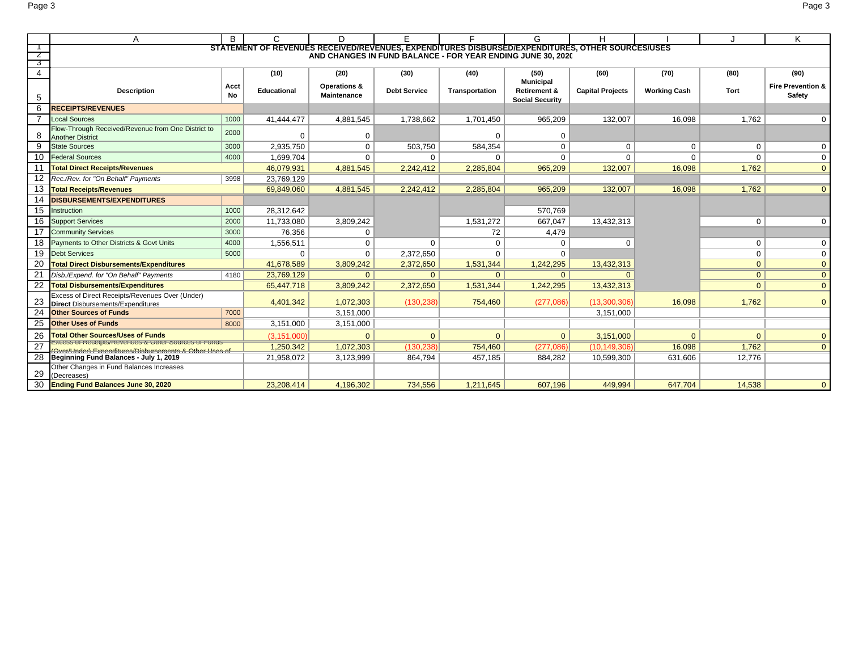|                |                                                                                                   | B         |                                                                                                       |                                                             | E                   |                |                                                   |                         |                     |                |                   |
|----------------|---------------------------------------------------------------------------------------------------|-----------|-------------------------------------------------------------------------------------------------------|-------------------------------------------------------------|---------------------|----------------|---------------------------------------------------|-------------------------|---------------------|----------------|-------------------|
|                | A                                                                                                 |           | С<br>STATEMENT OF REVENUES RECEIVED/REVENUES, EXPENDITURES DISBURSED/EXPENDITURES, OTHER SOURCES/USES | D                                                           |                     |                | G                                                 |                         |                     |                | Κ                 |
| $\mathbf{z}$   |                                                                                                   |           |                                                                                                       | AND CHANGES IN FUND BALANCE - FOR YEAR ENDING JUNE 30, 2020 |                     |                |                                                   |                         |                     |                |                   |
| उ              |                                                                                                   |           |                                                                                                       |                                                             |                     |                |                                                   |                         |                     |                |                   |
| $\overline{4}$ |                                                                                                   |           | (10)                                                                                                  | (20)                                                        | (30)                | (40)           | (50)                                              | (60)                    | (70)                | (80)           | (90)              |
|                |                                                                                                   | Acct      |                                                                                                       | Operations &                                                |                     |                | <b>Municipal</b>                                  |                         |                     |                | Fire Prevention & |
| 5              | <b>Description</b>                                                                                | <b>No</b> | Educational                                                                                           | Maintenance                                                 | <b>Debt Service</b> | Transportation | <b>Retirement &amp;</b><br><b>Social Security</b> | <b>Capital Projects</b> | <b>Working Cash</b> | <b>Tort</b>    | Safety            |
| 6              | <b>RECEIPTS/REVENUES</b>                                                                          |           |                                                                                                       |                                                             |                     |                |                                                   |                         |                     |                |                   |
|                | <b>Local Sources</b>                                                                              | 1000      | 41,444,477                                                                                            | 4,881,545                                                   | 1,738,662           | 1,701,450      | 965,209                                           | 132,007                 | 16.098              | 1.762          |                   |
|                | Flow-Through Received/Revenue from One District to                                                |           |                                                                                                       |                                                             |                     |                |                                                   |                         |                     |                |                   |
| 8              | <b>Another District</b>                                                                           | 2000      | $\Omega$                                                                                              | $\Omega$                                                    |                     | $\Omega$       | 0                                                 |                         |                     |                |                   |
| 9              | <b>State Sources</b>                                                                              | 3000      | 2.935.750                                                                                             | $\mathbf 0$                                                 | 503,750             | 584,354        | $\Omega$                                          | $\Omega$                | $\mathbf{0}$        | $\mathbf{0}$   | $\mathbf 0$       |
| 10             | <b>Federal Sources</b>                                                                            | 4000      | 1,699,704                                                                                             | $\Omega$                                                    | $\Omega$            | $\Omega$       | $\Omega$                                          | $\Omega$                |                     | $\Omega$       | 0                 |
| 11             | <b>Total Direct Receipts/Revenues</b>                                                             |           | 46,079,931                                                                                            | 4,881,545                                                   | 2,242,412           | 2,285,804      | 965.209                                           | 132,007                 | 16,098              | 1.762          | $\mathbf{0}$      |
| 12             | Rec./Rev. for "On Behalf" Payments                                                                | 3998      | 23,769,129                                                                                            |                                                             |                     |                |                                                   |                         |                     |                |                   |
| 13             | <b>Total Receipts/Revenues</b>                                                                    |           | 69,849,060                                                                                            | 4,881,545                                                   | 2,242,412           | 2,285,804      | 965,209                                           | 132,007                 | 16,098              | 1,762          | $\Omega$          |
| 14             | <b>DISBURSEMENTS/EXPENDITURES</b>                                                                 |           |                                                                                                       |                                                             |                     |                |                                                   |                         |                     |                |                   |
| 15             | Instruction                                                                                       | 1000      | 28,312,642                                                                                            |                                                             |                     |                | 570,769                                           |                         |                     |                |                   |
| 16             | <b>Support Services</b>                                                                           | 2000      | 11,733,080                                                                                            | 3,809,242                                                   |                     | 1,531,272      | 667,047                                           | 13,432,313              |                     | $\Omega$       | $\Omega$          |
| -17            | <b>Community Services</b>                                                                         | 3000      | 76,356                                                                                                | $\mathbf 0$                                                 |                     | 72             | 4,479                                             |                         |                     |                |                   |
| 18             | Payments to Other Districts & Govt Units                                                          | 4000      | 1,556,511                                                                                             | $\Omega$                                                    | $\Omega$            | $\Omega$       |                                                   |                         |                     | 0              |                   |
| 19             | <b>Debt Services</b>                                                                              | 5000      | 0                                                                                                     | $\Omega$                                                    | 2,372,650           | $\Omega$       | $\Omega$                                          |                         |                     | $\mathbf{0}$   | $\Omega$          |
| 20             | <b>Total Direct Disbursements/Expenditures</b>                                                    |           | 41,678,589                                                                                            | 3,809,242                                                   | 2,372,650           | 1,531,344      | 1,242,295                                         | 13,432,313              |                     | $\overline{0}$ | $\Omega$          |
| 21             | Disb./Expend. for "On Behalf" Payments                                                            | 4180      | 23,769,129                                                                                            | $\Omega$                                                    | $\Omega$            | $\Omega$       | $\Omega$                                          |                         |                     | $\overline{0}$ | $\mathbf{0}$      |
| 22             | <b>Total Disbursements/Expenditures</b>                                                           |           | 65,447,718                                                                                            | 3,809,242                                                   | 2,372,650           | 1,531,344      | 1,242,295                                         | 13.432.313              |                     | $\overline{0}$ | $\mathbf{0}$      |
| 23             | Excess of Direct Receipts/Revenues Over (Under)                                                   |           |                                                                                                       | 1,072,303                                                   |                     |                |                                                   | (13,300,306)            | 16,098              | 1,762          | $\Omega$          |
|                | <b>Direct</b> Disbursements/Expenditures                                                          | 7000      | 4,401,342                                                                                             |                                                             | (130, 238)          | 754,460        | (277,086)                                         |                         |                     |                |                   |
| 24<br>25       | <b>Other Sources of Funds</b><br><b>Other Uses of Funds</b>                                       |           |                                                                                                       | 3,151,000                                                   |                     |                |                                                   | 3,151,000               |                     |                |                   |
|                |                                                                                                   | 8000      | 3,151,000                                                                                             | 3,151,000                                                   |                     |                |                                                   |                         |                     |                |                   |
| 26             | <b>Total Other Sources/Uses of Funds</b><br>Lxcess or receipts/rtevenues & Other Sources or Funds |           | (3, 151, 000)                                                                                         | $\Omega$                                                    | $\Omega$            | $\Omega$       | $\Omega$                                          | 3,151,000               | $\Omega$            | $\Omega$       | $\Omega$          |
| 27             | (Over/Linder) Expenditures/Disbursements & Other Lises of                                         |           | 1,250,342                                                                                             | 1,072,303                                                   | (130, 238)          | 754,460        | (277,086)                                         | (10, 149, 306)          | 16,098              | 1,762          | $\mathbf{0}$      |
| 28             | Beginning Fund Balances - July 1, 2019                                                            |           | 21,958,072                                                                                            | 3,123,999                                                   | 864,794             | 457,185        | 884,282                                           | 10,599,300              | 631,606             | 12,776         |                   |
| 29             | Other Changes in Fund Balances Increases                                                          |           |                                                                                                       |                                                             |                     |                |                                                   |                         |                     |                |                   |
| 30             | (Decreases)<br><b>Ending Fund Balances June 30, 2020</b>                                          |           | 23,208,414                                                                                            | 4,196,302                                                   | 734,556             | 1,211,645      | 607,196                                           | 449,994                 | 647,704             | 14,538         |                   |
|                |                                                                                                   |           |                                                                                                       |                                                             |                     |                |                                                   |                         |                     |                |                   |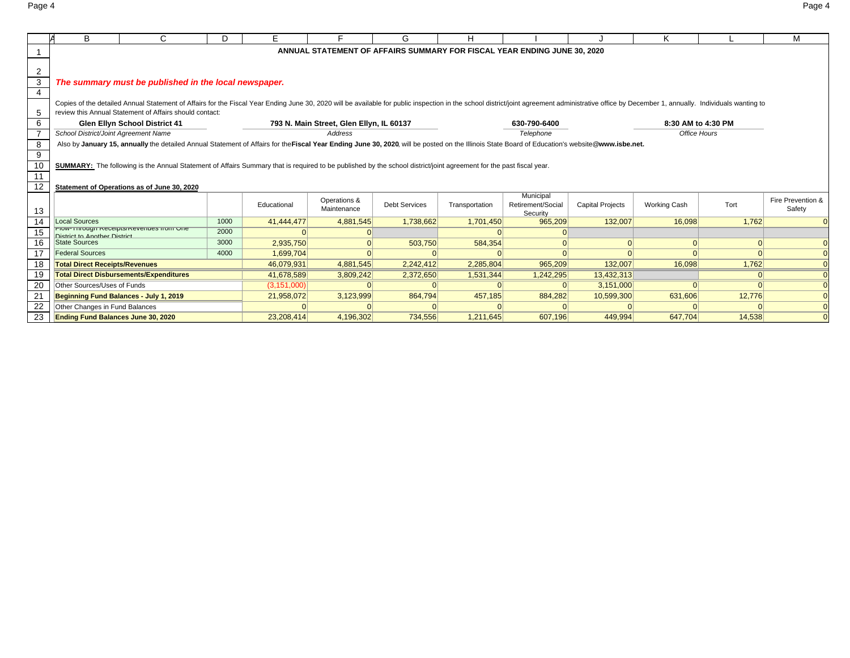Page 4 Page 4

|                 | B                                                                                                                                                                                                                              | C                                                                                                                                                                                               | D.   | E.            |                                          | G                    | н              |                                                                          |                         | Κ                   |        | M                 |
|-----------------|--------------------------------------------------------------------------------------------------------------------------------------------------------------------------------------------------------------------------------|-------------------------------------------------------------------------------------------------------------------------------------------------------------------------------------------------|------|---------------|------------------------------------------|----------------------|----------------|--------------------------------------------------------------------------|-------------------------|---------------------|--------|-------------------|
|                 |                                                                                                                                                                                                                                |                                                                                                                                                                                                 |      |               |                                          |                      |                | ANNUAL STATEMENT OF AFFAIRS SUMMARY FOR FISCAL YEAR ENDING JUNE 30, 2020 |                         |                     |        |                   |
|                 |                                                                                                                                                                                                                                |                                                                                                                                                                                                 |      |               |                                          |                      |                |                                                                          |                         |                     |        |                   |
| $\overline{2}$  |                                                                                                                                                                                                                                |                                                                                                                                                                                                 |      |               |                                          |                      |                |                                                                          |                         |                     |        |                   |
| 3               |                                                                                                                                                                                                                                | The summary must be published in the local newspaper.                                                                                                                                           |      |               |                                          |                      |                |                                                                          |                         |                     |        |                   |
| $\overline{4}$  |                                                                                                                                                                                                                                |                                                                                                                                                                                                 |      |               |                                          |                      |                |                                                                          |                         |                     |        |                   |
|                 | Copies of the detailed Annual Statement of Affairs for the Fiscal Year Ending June 30, 2020 will be available for public inspection in the school district/joint agreement administrative office by December 1, annually. Indi |                                                                                                                                                                                                 |      |               |                                          |                      |                |                                                                          |                         |                     |        |                   |
| 5               |                                                                                                                                                                                                                                | review this Annual Statement of Affairs should contact:                                                                                                                                         |      |               |                                          |                      |                |                                                                          |                         |                     |        |                   |
| 6               |                                                                                                                                                                                                                                | <b>Glen Ellyn School District 41</b>                                                                                                                                                            |      |               | 793 N. Main Street, Glen Ellyn, IL 60137 |                      |                | 630-790-6400                                                             |                         | 8:30 AM to 4:30 PM  |        |                   |
| $\overline{7}$  | School District/Joint Agreement Name                                                                                                                                                                                           |                                                                                                                                                                                                 |      |               | Address                                  |                      |                | Telephone                                                                |                         | Office Hours        |        |                   |
| 8               |                                                                                                                                                                                                                                | Also by January 15, annually the detailed Annual Statement of Affairs for the Fiscal Year Ending June 30, 2020, will be posted on the Illinois State Board of Education's website@www.isbe.net. |      |               |                                          |                      |                |                                                                          |                         |                     |        |                   |
| 9               |                                                                                                                                                                                                                                |                                                                                                                                                                                                 |      |               |                                          |                      |                |                                                                          |                         |                     |        |                   |
| 10 <sup>1</sup> | SUMMARY: The following is the Annual Statement of Affairs Summary that is required to be published by the school district/joint agreement for the past fiscal year.                                                            |                                                                                                                                                                                                 |      |               |                                          |                      |                |                                                                          |                         |                     |        |                   |
| 11              |                                                                                                                                                                                                                                |                                                                                                                                                                                                 |      |               |                                          |                      |                |                                                                          |                         |                     |        |                   |
| 12              |                                                                                                                                                                                                                                | Statement of Operations as of June 30, 2020                                                                                                                                                     |      |               |                                          |                      |                |                                                                          |                         |                     |        |                   |
|                 |                                                                                                                                                                                                                                |                                                                                                                                                                                                 |      |               | Operations &                             |                      |                | Municipal                                                                |                         |                     |        | Fire Prevention & |
| 13              |                                                                                                                                                                                                                                |                                                                                                                                                                                                 |      | Educational   | Maintenance                              | <b>Debt Services</b> | Transportation | Retirement/Social<br>Security                                            | <b>Capital Projects</b> | <b>Working Cash</b> | Tort   | Safety            |
| 14              | <b>Local Sources</b>                                                                                                                                                                                                           |                                                                                                                                                                                                 | 1000 | 41,444,477    | 4,881,545                                | 1,738,662            | 1,701,450      | 965,209                                                                  | 132,007                 | 16.098              | 1.762  |                   |
| 15              | <b>Nietrict to Another Nietrict</b>                                                                                                                                                                                            | riow-Through Receipts/Revenues from One                                                                                                                                                         | 2000 |               |                                          |                      |                |                                                                          |                         |                     |        |                   |
| 16              | <b>State Sources</b>                                                                                                                                                                                                           |                                                                                                                                                                                                 | 3000 | 2.935.750     |                                          | 503,750              | 584,354        |                                                                          |                         |                     |        |                   |
| 17              | <b>Federal Sources</b>                                                                                                                                                                                                         |                                                                                                                                                                                                 | 4000 | 1,699,704     |                                          |                      |                |                                                                          |                         |                     |        |                   |
| 18              | <b>Total Direct Receipts/Revenues</b>                                                                                                                                                                                          |                                                                                                                                                                                                 |      | 46,079,931    | 4,881,545                                | 2,242,412            | 2,285,804      | 965,209                                                                  | 132,007                 | 16,098              | 1,762  |                   |
| 19              |                                                                                                                                                                                                                                | <b>Total Direct Disbursements/Expenditures</b>                                                                                                                                                  |      | 41,678,589    | 3,809,242                                | 2,372,650            | 1,531,344      | 1,242,295                                                                | 13,432,313              |                     |        |                   |
| 20              | Other Sources/Uses of Funds                                                                                                                                                                                                    |                                                                                                                                                                                                 |      | (3, 151, 000) | $\Omega$                                 |                      |                |                                                                          | 3,151,000               |                     |        |                   |
| 21              | Beginning Fund Balances - July 1, 2019                                                                                                                                                                                         |                                                                                                                                                                                                 |      | 21,958,072    | 3,123,999                                | 864.794              | 457,185        | 884,282                                                                  | 10,599,300              | 631,606             | 12,776 |                   |
| 22              | Other Changes in Fund Balances                                                                                                                                                                                                 |                                                                                                                                                                                                 |      |               |                                          |                      |                |                                                                          |                         |                     |        |                   |
| 23              | <b>Ending Fund Balances June 30, 2020</b>                                                                                                                                                                                      |                                                                                                                                                                                                 |      | 23,208,414    | 4,196,302                                | 734,556              | 1.211.645      | 607.196                                                                  | 449.994                 | 647.704             | 14,538 |                   |
|                 |                                                                                                                                                                                                                                |                                                                                                                                                                                                 |      |               |                                          |                      |                |                                                                          |                         |                     |        |                   |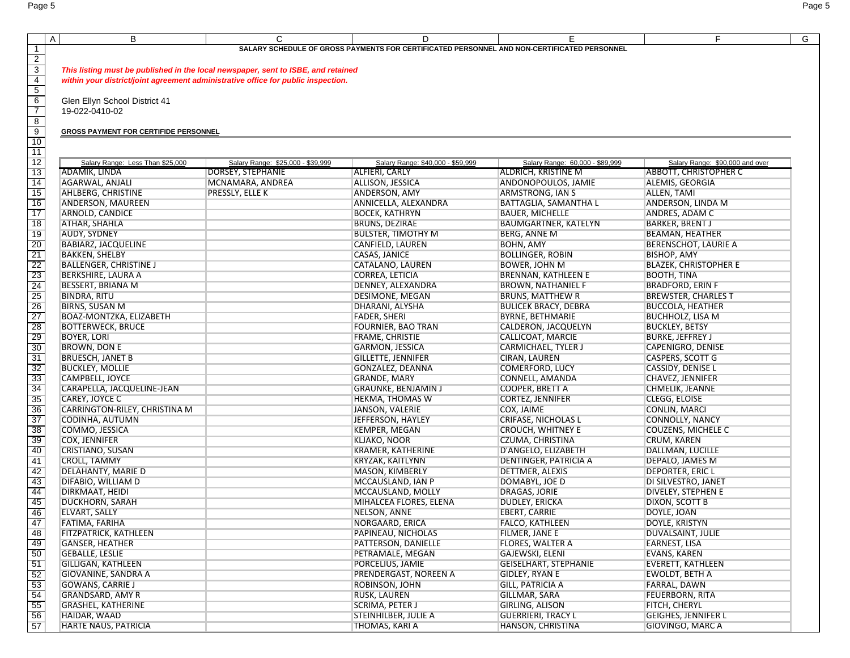|                                                                          | B<br>A                                                 | C                                                                                 | D                                                                                           | E.                                                            | F                                                               | G |
|--------------------------------------------------------------------------|--------------------------------------------------------|-----------------------------------------------------------------------------------|---------------------------------------------------------------------------------------------|---------------------------------------------------------------|-----------------------------------------------------------------|---|
| $\mathbf{1}$                                                             |                                                        |                                                                                   | SALARY SCHEDULE OF GROSS PAYMENTS FOR CERTIFICATED PERSONNEL AND NON-CERTIFICATED PERSONNEL |                                                               |                                                                 |   |
|                                                                          |                                                        |                                                                                   |                                                                                             |                                                               |                                                                 |   |
| $\frac{2}{3}$                                                            |                                                        |                                                                                   |                                                                                             |                                                               |                                                                 |   |
|                                                                          |                                                        | This listing must be published in the local newspaper, sent to ISBE, and retained |                                                                                             |                                                               |                                                                 |   |
| $\begin{array}{r} 4 \\ 5 \\ \hline 6 \\ 7 \end{array}$                   |                                                        | within your district/joint agreement administrative office for public inspection. |                                                                                             |                                                               |                                                                 |   |
|                                                                          |                                                        |                                                                                   |                                                                                             |                                                               |                                                                 |   |
|                                                                          | Glen Ellyn School District 41                          |                                                                                   |                                                                                             |                                                               |                                                                 |   |
| 8                                                                        | 19-022-0410-02                                         |                                                                                   |                                                                                             |                                                               |                                                                 |   |
|                                                                          |                                                        |                                                                                   |                                                                                             |                                                               |                                                                 |   |
| $\overline{9}$                                                           | <b>GROSS PAYMENT FOR CERTIFIDE PERSONNEL</b>           |                                                                                   |                                                                                             |                                                               |                                                                 |   |
| 10                                                                       |                                                        |                                                                                   |                                                                                             |                                                               |                                                                 |   |
| 11                                                                       |                                                        |                                                                                   |                                                                                             |                                                               |                                                                 |   |
| 12<br>13                                                                 | Salary Range: Less Than \$25,000<br>ADAMIK, LINDA      | Salary Range: \$25,000 - \$39,999<br><b>DORSEY, STEPHANIE</b>                     | Salary Range: \$40,000 - \$59,999<br>ALFIERI, CARLY                                         | Salary Range: 60,000 - \$89,999<br><b>ALDRICH, KRISTINE M</b> | Salary Range: \$90,000 and over<br><b>ABBOTT, CHRISTOPHER C</b> |   |
| 14                                                                       | AGARWAL, ANJALI                                        | MCNAMARA, ANDREA                                                                  | ALLISON, JESSICA                                                                            | ANDONOPOULOS, JAMIE                                           | ALEMIS, GEORGIA                                                 |   |
| 15                                                                       |                                                        |                                                                                   |                                                                                             |                                                               |                                                                 |   |
| 16                                                                       | AHLBERG, CHRISTINE                                     | PRESSLY, ELLE K                                                                   | ANDERSON, AMY                                                                               | ARMSTRONG, IAN S                                              | ALLEN, TAMI                                                     |   |
| 17                                                                       | <b>ANDERSON, MAUREEN</b><br>ARNOLD, CANDICE            |                                                                                   | ANNICELLA, ALEXANDRA<br><b>BOCEK, KATHRYN</b>                                               | BATTAGLIA, SAMANTHA L<br><b>BAUER, MICHELLE</b>               | ANDERSON, LINDA M<br>ANDRES, ADAM C                             |   |
| 18                                                                       | <b>ATHAR, SHAHLA</b>                                   |                                                                                   | BRUNS, DEZIRAE                                                                              |                                                               | <b>BARKER, BRENT J</b>                                          |   |
| 19                                                                       | <b>AUDY, SYDNEY</b>                                    |                                                                                   | <b>BULSTER, TIMOTHY M</b>                                                                   | BAUMGARTNER, KATELYN                                          |                                                                 |   |
|                                                                          | <b>BABIARZ, JACQUELINE</b>                             |                                                                                   |                                                                                             | BERG, ANNE M                                                  | BEAMAN, HEATHER                                                 |   |
| 20                                                                       |                                                        |                                                                                   | CANFIELD, LAUREN                                                                            | BOHN, AMY                                                     | BERENSCHOT, LAURIE A                                            |   |
| 21                                                                       | <b>BAKKEN, SHELBY</b><br><b>BALLENGER, CHRISTINE J</b> |                                                                                   | CASAS, JANICE<br>CATALANO, LAUREN                                                           | <b>BOLLINGER, ROBIN</b><br><b>BOWER, JOHN M</b>               | <b>BISHOP, AMY</b><br><b>BLAZEK, CHRISTOPHER E</b>              |   |
|                                                                          |                                                        |                                                                                   |                                                                                             |                                                               | <b>BOOTH, TINA</b>                                              |   |
|                                                                          | <b>BERKSHIRE, LAURA A</b>                              |                                                                                   | CORREA, LETICIA                                                                             | BRENNAN, KATHLEEN E                                           |                                                                 |   |
| $\frac{22}{23}$<br>$\frac{23}{24}$<br>$\frac{25}{26}$<br>$\frac{26}{27}$ | <b>BESSERT, BRIANA M</b>                               |                                                                                   | DENNEY, ALEXANDRA                                                                           | <b>BROWN, NATHANIEL F</b>                                     | <b>BRADFORD, ERIN F</b>                                         |   |
|                                                                          | <b>BINDRA, RITU</b>                                    |                                                                                   | DESIMONE, MEGAN                                                                             | BRUNS, MATTHEW R                                              | <b>BREWSTER, CHARLES T</b>                                      |   |
|                                                                          | <b>BIRNS, SUSAN M</b><br>BOAZ-MONTZKA, ELIZABETH       |                                                                                   | DHARANI, ALYSHA<br><b>FADER, SHERI</b>                                                      | <b>BULICEK BRACY, DEBRA</b>                                   | <b>BUCCOLA, HEATHER</b>                                         |   |
|                                                                          |                                                        |                                                                                   |                                                                                             | BYRNE, BETHMARIE                                              | <b>BUCHHOLZ, LISA M</b>                                         |   |
| 28                                                                       | <b>BOTTERWECK, BRUCE</b><br><b>BOYER, LORI</b>         |                                                                                   | FOURNIER, BAO TRAN<br><b>FRAME, CHRISTIE</b>                                                | CALDERON, JACQUELYN                                           | <b>BUCKLEY, BETSY</b><br><b>BURKE, JEFFREY J</b>                |   |
| 29<br>30                                                                 | <b>BROWN, DON E</b>                                    |                                                                                   |                                                                                             | CALLICOAT, MARCIE                                             |                                                                 |   |
| 31                                                                       | <b>BRUESCH, JANET B</b>                                |                                                                                   | GARMON, JESSICA<br><b>GILLETTE, JENNIFER</b>                                                | CARMICHAEL, TYLER J<br><b>CIRAN, LAUREN</b>                   | CAPENIGRO, DENISE<br><b>CASPERS, SCOTT G</b>                    |   |
|                                                                          | <b>BUCKLEY, MOLLIE</b>                                 |                                                                                   |                                                                                             | <b>COMERFORD, LUCY</b>                                        | CASSIDY, DENISE L                                               |   |
| 32<br>33                                                                 | CAMPBELL, JOYCE                                        |                                                                                   | GONZALEZ, DEANNA<br><b>GRANDE, MARY</b>                                                     |                                                               | <b>CHAVEZ, JENNIFER</b>                                         |   |
| 34                                                                       | CARAPELLA, JACQUELINE-JEAN                             |                                                                                   | <b>GRAUNKE, BENJAMIN J</b>                                                                  | CONNELL, AMANDA<br>COOPER, BRETT A                            | CHMELIK, JEANNE                                                 |   |
| 35                                                                       | CAREY, JOYCE C                                         |                                                                                   | HEKMA, THOMAS W                                                                             | CORTEZ, JENNIFER                                              | CLEGG, ELOISE                                                   |   |
| 36                                                                       | CARRINGTON-RILEY, CHRISTINA M                          |                                                                                   |                                                                                             | COX, JAIME                                                    | <b>CONLIN, MARCI</b>                                            |   |
| 37                                                                       | CODINHA, AUTUMN                                        |                                                                                   | JANSON, VALERIE<br>JEFFERSON, HAYLEY                                                        | <b>CRIFASE, NICHOLAS L</b>                                    | <b>CONNOLLY, NANCY</b>                                          |   |
| 38                                                                       | COMMO, JESSICA                                         |                                                                                   | <b>KEMPER, MEGAN</b>                                                                        | <b>CROUCH, WHITNEY E</b>                                      | <b>COUZENS, MICHELE C</b>                                       |   |
| 39                                                                       | COX, JENNIFER                                          |                                                                                   | KLJAKO, NOOR                                                                                | CZUMA, CHRISTINA                                              | CRUM, KAREN                                                     |   |
| 40                                                                       | <b>CRISTIANO, SUSAN</b>                                |                                                                                   | KRAMER, KATHERINE                                                                           | D'ANGELO, ELIZABETH                                           | DALLMAN, LUCILLE                                                |   |
| 41                                                                       | <b>CROLL, TAMMY</b>                                    |                                                                                   | KRYZAK, KAITLYNN                                                                            | DENTINGER, PATRICIA A                                         | DEPALO, JAMES M                                                 |   |
| 42                                                                       | <b>DELAHANTY, MARIE D</b>                              |                                                                                   | <b>MASON, KIMBERLY</b>                                                                      | DETTMER, ALEXIS                                               | <b>DEPORTER, ERIC L</b>                                         |   |
| 43                                                                       | DIFABIO, WILLIAM D                                     |                                                                                   | MCCAUSLAND, IAN P                                                                           | DOMABYL, JOE D                                                | DI SILVESTRO, JANET                                             |   |
| 44                                                                       | DIRKMAAT, HEIDI                                        |                                                                                   | MCCAUSLAND, MOLLY                                                                           | DRAGAS, JORIE                                                 | <b>DIVELEY, STEPHEN E</b>                                       |   |
| 45                                                                       | <b>DUCKHORN, SARAH</b>                                 |                                                                                   | MIHALCEA FLORES, ELENA                                                                      | DUDLEY, ERICKA                                                | DIXON, SCOTT B                                                  |   |
| 46                                                                       | <b>ELVART, SALLY</b>                                   |                                                                                   | NELSON, ANNE                                                                                | EBERT, CARRIE                                                 | DOYLE, JOAN                                                     |   |
| 47                                                                       | FATIMA, FARIHA                                         |                                                                                   | NORGAARD, ERICA                                                                             | <b>FALCO, KATHLEEN</b>                                        | DOYLE, KRISTYN                                                  |   |
| 48                                                                       | <b>FITZPATRICK, KATHLEEN</b>                           |                                                                                   | PAPINEAU, NICHOLAS                                                                          | FILMER, JANE E                                                | DUVALSAINT, JULIE                                               |   |
| 49                                                                       | <b>GANSER, HEATHER</b>                                 |                                                                                   | PATTERSON, DANIELLE                                                                         | <b>FLORES, WALTER A</b>                                       | EARNEST, LISA                                                   |   |
| 50                                                                       | <b>GEBALLE, LESLIE</b>                                 |                                                                                   | PETRAMALE, MEGAN                                                                            | GAJEWSKI, ELENI                                               | <b>EVANS, KAREN</b>                                             |   |
| 51                                                                       | <b>GILLIGAN, KATHLEEN</b>                              |                                                                                   | PORCELIUS, JAMIE                                                                            | <b>GEISELHART, STEPHANIE</b>                                  | <b>EVERETT, KATHLEEN</b>                                        |   |
|                                                                          | GIOVANINE, SANDRA A                                    |                                                                                   | PRENDERGAST, NOREEN A                                                                       | GIDLEY, RYAN E                                                | EWOLDT, BETH A                                                  |   |
| 52<br>53                                                                 | <b>GOWANS, CARRIE J</b>                                |                                                                                   | ROBINSON, JOHN                                                                              | <b>GILL, PATRICIA A</b>                                       | FARRAL, DAWN                                                    |   |
|                                                                          | <b>GRANDSARD, AMY R</b>                                |                                                                                   | RUSK, LAUREN                                                                                | GILLMAR, SARA                                                 | <b>FEUERBORN, RITA</b>                                          |   |
| 54<br>55                                                                 | <b>GRASHEL, KATHERINE</b>                              |                                                                                   | SCRIMA, PETER J                                                                             |                                                               | FITCH, CHERYL                                                   |   |
|                                                                          |                                                        |                                                                                   |                                                                                             | GIRLING, ALISON                                               |                                                                 |   |
| 56<br>57                                                                 | HAIDAR, WAAD                                           |                                                                                   | STEINHILBER, JULIE A<br>THOMAS, KARI A                                                      | <b>GUERRIERI, TRACY L</b>                                     | <b>GEIGHES, JENNIFER L</b>                                      |   |
|                                                                          | <b>HARTE NAUS, PATRICIA</b>                            |                                                                                   |                                                                                             | <b>HANSON, CHRISTINA</b>                                      | GIOVINGO, MARC A                                                |   |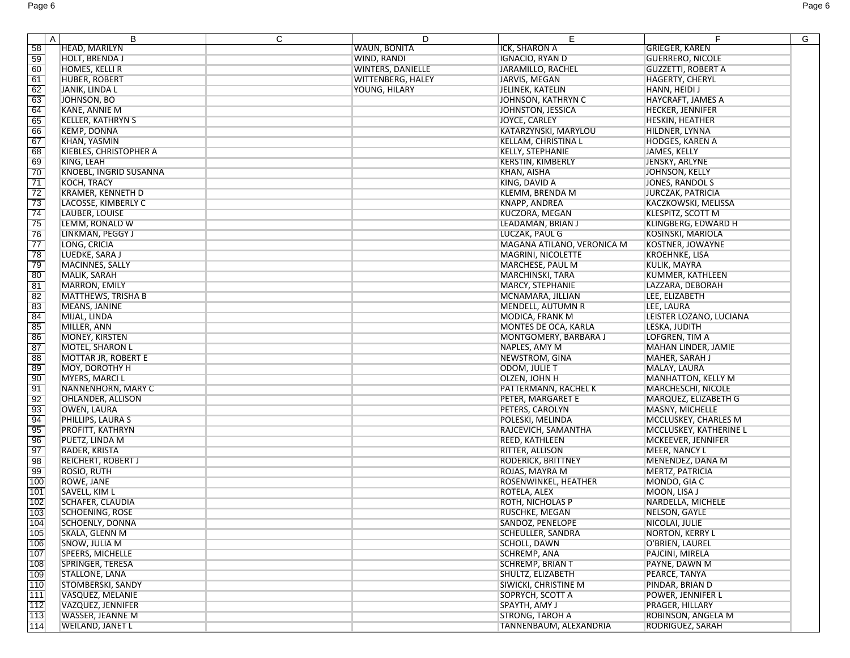|            | $\mathsf{A}$<br>B             | C | D                        | E.                          | F                           | G |
|------------|-------------------------------|---|--------------------------|-----------------------------|-----------------------------|---|
| 58         | <b>HEAD, MARILYN</b>          |   | WAUN, BONITA             | <b>ICK. SHARON A</b>        | <b>GRIEGER, KAREN</b>       |   |
| 59         | <b>HOLT, BRENDA J</b>         |   | WIND, RANDI              | IGNACIO, RYAN D             | <b>GUERRERO, NICOLE</b>     |   |
| 60         | <b>HOMES, KELLI R</b>         |   | <b>WINTERS, DANIELLE</b> | JARAMILLO, RACHEL           | <b>GUZZETTI, ROBERT A</b>   |   |
| 61         | <b>HUBER, ROBERT</b>          |   | <b>WITTENBERG, HALEY</b> | JARVIS, MEGAN               | <b>HAGERTY, CHERYL</b>      |   |
| 62         | JANIK, LINDA L                |   | YOUNG, HILARY            | JELINEK, KATELIN            | HANN, HEIDI J               |   |
| 63         | JOHNSON, BO                   |   |                          | JOHNSON, KATHRYN C          | <b>HAYCRAFT, JAMES A</b>    |   |
| 64         | <b>KANE, ANNIE M</b>          |   |                          | JOHNSTON, JESSICA           | <b>HECKER, JENNIFER</b>     |   |
| 65         | <b>KELLER, KATHRYN S</b>      |   |                          | JOYCE, CARLEY               | <b>HESKIN, HEATHER</b>      |   |
| 66         | <b>KEMP, DONNA</b>            |   |                          | KATARZYNSKI, MARYLOU        | HILDNER, LYNNA              |   |
| 67         | <b>KHAN, YASMIN</b>           |   |                          | <b>KELLAM, CHRISTINA L</b>  | <b>HODGES, KAREN A</b>      |   |
| 68         | <b>KIEBLES, CHRISTOPHER A</b> |   |                          | <b>KELLY, STEPHANIE</b>     | JAMES, KELLY                |   |
| 69         | KING, LEAH                    |   |                          | <b>KERSTIN, KIMBERLY</b>    | JENSKY, ARLYNE              |   |
| 70         | <b>KNOEBL, INGRID SUSANNA</b> |   |                          | KHAN, AISHA                 | <b>JOHNSON, KELLY</b>       |   |
| 71         | KOCH, TRACY                   |   |                          | KING, DAVID A               | <b>JONES, RANDOL S</b>      |   |
|            |                               |   |                          |                             |                             |   |
| 72         | <b>KRAMER, KENNETH D</b>      |   |                          | <b>KLEMM, BRENDA M</b>      | <b>JURCZAK, PATRICIA</b>    |   |
| 73         | LACOSSE, KIMBERLY C           |   |                          | <b>KNAPP, ANDREA</b>        | KACZKOWSKI, MELISSA         |   |
| 74         | LAUBER, LOUISE                |   |                          | KUCZORA, MEGAN              | <b>KLESPITZ, SCOTT M</b>    |   |
| 75         | LEMM, RONALD W                |   |                          | LEADAMAN, BRIAN J           | <b>KLINGBERG, EDWARD H</b>  |   |
| 76         | LINKMAN, PEGGY J              |   |                          | LUCZAK, PAUL G              | KOSINSKI, MARIOLA           |   |
| 77         | LONG, CRICIA                  |   |                          | MAGANA ATILANO, VERONICA M  | KOSTNER, JOWAYNE            |   |
| 78         | LUEDKE, SARA J                |   |                          | MAGRINI, NICOLETTE          | <b>KROEHNKE, LISA</b>       |   |
| 79         | MACINNES, SALLY               |   |                          | MARCHESE, PAUL M            | <b>KULIK, MAYRA</b>         |   |
| 80         | MALIK, SARAH                  |   |                          | <b>MARCHINSKI, TARA</b>     | <b>KUMMER, KATHLEEN</b>     |   |
| $-81$      | MARRON, EMILY                 |   |                          | MARCY, STEPHANIE            | LAZZARA, DEBORAH            |   |
| -82        | <b>MATTHEWS, TRISHA B</b>     |   |                          | MCNAMARA, JILLIAN           | LEE, ELIZABETH              |   |
| 83         | MEANS, JANINE                 |   |                          | <b>MENDELL, AUTUMN R</b>    | LEE, LAURA                  |   |
| -84        | MIJAL, LINDA                  |   |                          | <b>MODICA, FRANK M</b>      | LEISTER LOZANO, LUCIANA     |   |
| 85         | MILLER, ANN                   |   |                          | MONTES DE OCA, KARLA        | LESKA, JUDITH               |   |
| 86         | MONEY, KIRSTEN                |   |                          | MONTGOMERY, BARBARA J       | LOFGREN, TIM A              |   |
| 87         | <b>MOTEL, SHARON L</b>        |   |                          | NAPLES, AMY M               | MAHAN LINDER, JAMIE         |   |
| 88         | <b>MOTTAR JR, ROBERT E</b>    |   |                          | NEWSTROM, GINA              | MAHER, SARAH J              |   |
| 89         | <b>MOY, DOROTHY H</b>         |   |                          | ODOM, JULIE T               | MALAY, LAURA                |   |
| 90         | <b>MYERS, MARCI L</b>         |   |                          | OLZEN, JOHN H               | <b>MANHATTON, KELLY M</b>   |   |
| 91         | NANNENHORN, MARY C            |   |                          | PATTERMANN, RACHEL K        | MARCHESCHI, NICOLE          |   |
| 92         | OHLANDER, ALLISON             |   |                          | PETER, MARGARET E           | MARQUEZ, ELIZABETH G        |   |
| 93         | <b>OWEN, LAURA</b>            |   |                          | PETERS, CAROLYN             | MASNY, MICHELLE             |   |
| 94         | PHILLIPS, LAURA S             |   |                          | POLESKI, MELINDA            | <b>MCCLUSKEY, CHARLES M</b> |   |
| 95         | PROFITT, KATHRYN              |   |                          | RAJCEVICH, SAMANTHA         | MCCLUSKEY, KATHERINE L      |   |
| 96         | PUETZ, LINDA M                |   |                          | REED, KATHLEEN              | MCKEEVER, JENNIFER          |   |
| 97         | RADER, KRISTA                 |   |                          | <b>RITTER, ALLISON</b>      | <b>MEER, NANCY L</b>        |   |
| 98         | <b>REICHERT, ROBERT J</b>     |   |                          | <b>RODERICK, BRITTNEY</b>   | MENENDEZ, DANA M            |   |
| 99         | ROSIO, RUTH                   |   |                          | ROJAS, MAYRA M              | MERTZ, PATRICIA             |   |
| 100        | <b>ROWE, JANE</b>             |   |                          | ROSENWINKEL, HEATHER        | MONDO, GIA C                |   |
| 101        | SAVELL, KIM L                 |   |                          | ROTELA, ALEX                | MOON, LISA J                |   |
| 102        | <b>SCHAFER, CLAUDIA</b>       |   |                          | <b>ROTH, NICHOLAS P</b>     | NARDELLA, MICHELE           |   |
| 103        | SCHOENING, ROSE               |   |                          | RUSCHKE, MEGAN              | NELSON, GAYLE               |   |
| 104        | <b>SCHOENLY, DONNA</b>        |   |                          | SANDOZ, PENELOPE            | NICOLAI, JULIE              |   |
| 105        | SKALA, GLENN M                |   |                          | <b>SCHEULLER, SANDRA</b>    | <b>NORTON, KERRY L</b>      |   |
|            | SNOW, JULIA M                 |   |                          | SCHOLL, DAWN                | O'BRIEN, LAUREL             |   |
| 106<br>107 |                               |   |                          | SCHREMP, ANA                |                             |   |
|            | <b>SPEERS, MICHELLE</b>       |   |                          |                             | PAJCINI, MIRELA             |   |
| 108        | SPRINGER, TERESA              |   |                          | <b>SCHREMP, BRIAN T</b>     | PAYNE, DAWN M               |   |
| 109        | STALLONE, LANA                |   |                          | SHULTZ, ELIZABETH           | PEARCE, TANYA               |   |
| 110        | <b>STOMBERSKI, SANDY</b>      |   |                          | <b>SIWICKI, CHRISTINE M</b> | PINDAR, BRIAN D             |   |
| 111        | VASQUEZ, MELANIE              |   |                          | SOPRYCH, SCOTT A            | POWER, JENNIFER L           |   |
| 112        | VAZQUEZ, JENNIFER             |   |                          | SPAYTH, AMY J               | PRAGER, HILLARY             |   |
| 113        | <b>WASSER, JEANNE M</b>       |   |                          | <b>STRONG, TAROH A</b>      | ROBINSON, ANGELA M          |   |
| 114        | <b>WEILAND, JANET L</b>       |   |                          | TANNENBAUM, ALEXANDRIA      | RODRIGUEZ, SARAH            |   |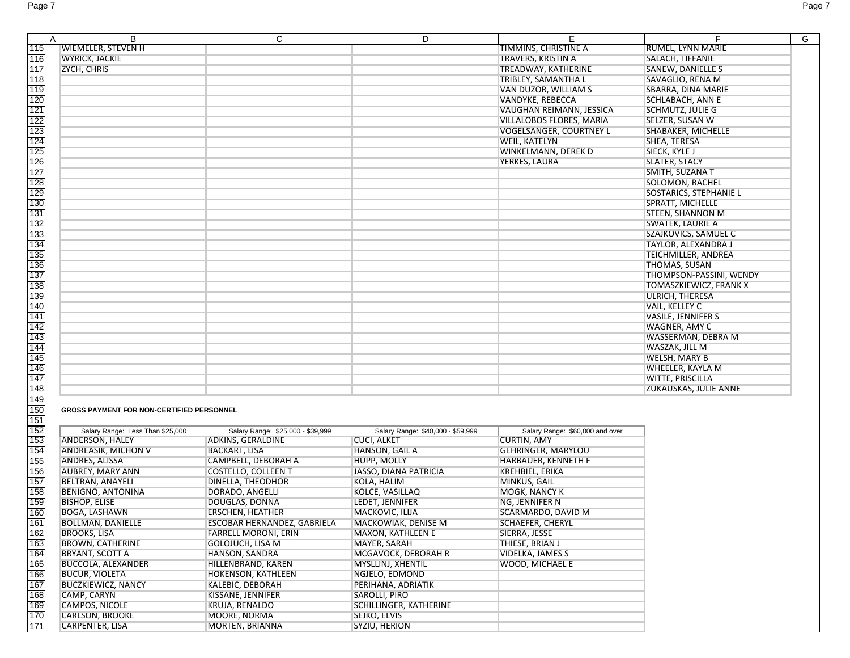| $\mathsf{A}$      | B                                         | C                                                | D                                    | E                                          | F                             | G |
|-------------------|-------------------------------------------|--------------------------------------------------|--------------------------------------|--------------------------------------------|-------------------------------|---|
| 115               | <b>WIEMELER, STEVEN H</b>                 |                                                  |                                      | TIMMINS, CHRISTINE A                       | <b>RUMEL, LYNN MARIE</b>      |   |
| 116               | <b>WYRICK, JACKIE</b>                     |                                                  |                                      | TRAVERS, KRISTIN A                         | <b>SALACH, TIFFANIE</b>       |   |
| 117               | ZYCH, CHRIS                               |                                                  |                                      | <b>TREADWAY, KATHERINE</b>                 | <b>SANEW, DANIELLE S</b>      |   |
| 118               |                                           |                                                  |                                      | <b>TRIBLEY, SAMANTHA L</b>                 | SAVAGLIO, RENA M              |   |
| 119               |                                           |                                                  |                                      | VAN DUZOR, WILLIAM S                       | SBARRA, DINA MARIE            |   |
| 120               |                                           |                                                  |                                      | VANDYKE, REBECCA                           | <b>SCHLABACH, ANN E</b>       |   |
| 121               |                                           |                                                  |                                      | VAUGHAN REIMANN, JESSICA                   | <b>SCHMUTZ, JULIE G</b>       |   |
| 122               |                                           |                                                  |                                      | VILLALOBOS FLORES, MARIA                   | SELZER, SUSAN W               |   |
| 123               |                                           |                                                  |                                      | <b>VOGELSANGER, COURTNEY L</b>             | SHABAKER, MICHELLE            |   |
| 124               |                                           |                                                  |                                      | <b>WEIL, KATELYN</b>                       | SHEA, TERESA                  |   |
| 125               |                                           |                                                  |                                      | WINKELMANN, DEREK D                        | <b>SIECK, KYLE J</b>          |   |
| 126               |                                           |                                                  |                                      | YERKES, LAURA                              | <b>SLATER, STACY</b>          |   |
| 127               |                                           |                                                  |                                      |                                            | SMITH, SUZANA T               |   |
| 128               |                                           |                                                  |                                      |                                            | <b>SOLOMON, RACHEL</b>        |   |
| 129               |                                           |                                                  |                                      |                                            | <b>SOSTARICS, STEPHANIE L</b> |   |
| 130               |                                           |                                                  |                                      |                                            | SPRATT, MICHELLE              |   |
| 131               |                                           |                                                  |                                      |                                            | <b>STEEN, SHANNON M</b>       |   |
| 132               |                                           |                                                  |                                      |                                            | <b>SWATEK, LAURIE A</b>       |   |
| 133               |                                           |                                                  |                                      |                                            | SZAJKOVICS, SAMUEL C          |   |
| 134               |                                           |                                                  |                                      |                                            | <b>TAYLOR, ALEXANDRA J</b>    |   |
| 135               |                                           |                                                  |                                      |                                            | TEICHMILLER, ANDREA           |   |
| 136               |                                           |                                                  |                                      |                                            | THOMAS, SUSAN                 |   |
| 137               |                                           |                                                  |                                      |                                            | THOMPSON-PASSINI, WENDY       |   |
| 138               |                                           |                                                  |                                      |                                            | TOMASZKIEWICZ, FRANK X        |   |
| 139               |                                           |                                                  |                                      |                                            | <b>ULRICH, THERESA</b>        |   |
| 140               |                                           |                                                  |                                      |                                            | VAIL, KELLEY C                |   |
| 141               |                                           |                                                  |                                      |                                            | <b>VASILE, JENNIFER S</b>     |   |
| 142               |                                           |                                                  |                                      |                                            | WAGNER, AMY C                 |   |
| 143               |                                           |                                                  |                                      |                                            | WASSERMAN, DEBRA M            |   |
| 144               |                                           |                                                  |                                      |                                            | WASZAK, JILL M                |   |
| 145               |                                           |                                                  |                                      |                                            | <b>WELSH, MARY B</b>          |   |
| 146               |                                           |                                                  |                                      |                                            | WHEELER, KAYLA M              |   |
| 147               |                                           |                                                  |                                      |                                            | <b>WITTE, PRISCILLA</b>       |   |
| 148               |                                           |                                                  |                                      |                                            | <b>ZUKAUSKAS, JULIE ANNE</b>  |   |
| 149<br>150<br>151 | GROSS PAYMENT FOR NON-CERTIFIED PERSONNEL |                                                  |                                      |                                            |                               |   |
| 152               | Salary Range: Less Than \$25,000          | Salary Range: \$25,000 - \$39,999                | Salary Range: \$40,000 - \$59,999    | Salary Range: \$60,000 and over            |                               |   |
| 153               | <b>ANDERSON, HALEY</b>                    | <b>ADKINS, GERALDINE</b>                         | <b>CUCI, ALKET</b>                   | <b>CURTIN, AMY</b>                         |                               |   |
| 154               | ANDREASIK, MICHON V                       | <b>BACKART, LISA</b>                             | HANSON, GAIL A                       | <b>GEHRINGER, MARYLOU</b>                  |                               |   |
| 155               | ANDRES, ALISSA                            | CAMPBELL, DEBORAH A                              | <b>HUPP, MOLLY</b>                   | HARBAUER, KENNETH F                        |                               |   |
| 156               | <b>AUBREY, MARY ANN</b>                   | <b>COSTELLO, COLLEEN T</b>                       | <b>JASSO, DIANA PATRICIA</b>         | <b>KREHBIEL, ERIKA</b>                     |                               |   |
| 157               | BELTRAN, ANAYELI                          | DINELLA, THEODHOR                                | KOLA, HALIM                          | MINKUS, GAIL                               |                               |   |
| 158               | <b>BENIGNO, ANTONINA</b>                  | DORADO, ANGELLI                                  | KOLCE, VASILLAQ                      | MOGK, NANCY K                              |                               |   |
| 159               | <b>BISHOP, ELISE</b>                      | DOUGLAS, DONNA                                   | LEDET, JENNIFER                      | NG, JENNIFER N                             |                               |   |
| 160               | BOGA, LASHAWN                             | ERSCHEN, HEATHER                                 | MACKOVIC, ILIJA                      | SCARMARDO, DAVID M                         |                               |   |
| 161               | <b>BOLLMAN, DANIELLE</b>                  | ESCOBAR HERNANDEZ, GABRIELA                      | MACKOWIAK, DENISE M                  | <b>SCHAEFER, CHERYL</b>                    |                               |   |
| 162               | <b>BROOKS, LISA</b>                       | <b>FARRELL MORONI, ERIN</b>                      | MAXON, KATHLEEN E                    | SIERRA, JESSE                              |                               |   |
| 163               | <b>BROWN, CATHERINE</b>                   | <b>GOLOJUCH, LISA M</b><br><b>HANSON, SANDRA</b> | MAYER, SARAH                         | THIESE, BRIAN J<br><b>VIDELKA, JAMES S</b> |                               |   |
| 164               | <b>BRYANT, SCOTT A</b>                    |                                                  | MCGAVOCK, DEBORAH R                  |                                            |                               |   |
| 165               | <b>BUCCOLA, ALEXANDER</b>                 | HILLENBRAND, KAREN<br><b>HOKENSON, KATHLEEN</b>  | MYSLLINJ, XHENTIL                    | <b>WOOD, MICHAEL E</b>                     |                               |   |
| 166               | <b>BUCUR, VIOLETA</b>                     |                                                  | NGJELO, EDMOND<br>PERIHANA, ADRIATIK |                                            |                               |   |
| 167               | <b>BUCZKIEWICZ, NANCY</b><br>CAMP, CARYN  | <b>KALEBIC, DEBORAH</b>                          |                                      |                                            |                               |   |
| 168<br>169        |                                           | KISSANE, JENNIFER                                | SAROLLI, PIRO                        |                                            |                               |   |
| 170               | CAMPOS, NICOLE                            | KRUJA, RENALDO                                   | SCHILLINGER, KATHERINE               |                                            |                               |   |
| 171               | <b>CARLSON, BROOKE</b>                    | MOORE, NORMA                                     | SEJKO, ELVIS                         |                                            |                               |   |
|                   | CARPENTER, LISA                           | MORTEN, BRIANNA                                  | SYZIU, HERION                        |                                            |                               |   |

## **GROSS PAYMENT FOR NON-CERTIFIED PERSONNEL**

| Salary Range: Less Than \$25,000 |                      | Salary Range: \$25,000 - \$39,999 | Salary Range: \$40,000 - \$59,999 | Salary Range: \$60,000 and over |
|----------------------------------|----------------------|-----------------------------------|-----------------------------------|---------------------------------|
| ANDERSON, HALEY                  |                      | <b>ADKINS, GERALDINE</b>          | <b>CUCI, ALKET</b>                | <b>CURTIN, AMY</b>              |
| ANDREASIK, MICHON V              | <b>BACKART, LISA</b> |                                   | HANSON, GAIL A                    | <b>GEHRINGER, MARYLOU</b>       |
| ANDRES, ALISSA                   |                      | CAMPBELL, DEBORAH A               | <b>HUPP, MOLLY</b>                | <b>HARBAUER, KENNETH F</b>      |
| <b>AUBREY, MARY ANN</b>          |                      | <b>COSTELLO, COLLEEN T</b>        | <b>JASSO, DIANA PATRICIA</b>      | <b>KREHBIEL, ERIKA</b>          |
| BELTRAN, ANAYELI                 |                      | DINELLA, THEODHOR                 | KOLA, HALIM                       | MINKUS, GAIL                    |
| <b>BENIGNO, ANTONINA</b>         | DORADO, ANGELLI      |                                   | <b>KOLCE, VASILLAQ</b>            | MOGK, NANCY K                   |
| <b>BISHOP, ELISE</b>             | DOUGLAS, DONNA       |                                   | LEDET, JENNIFER                   | NG, JENNIFER N                  |
| BOGA, LASHAWN                    |                      | <b>ERSCHEN, HEATHER</b>           | MACKOVIC, ILIJA                   | SCARMARDO, DAVID M              |
| <b>BOLLMAN, DANIELLE</b>         |                      | ESCOBAR HERNANDEZ, GABRIELA       | MACKOWIAK, DENISE M               | <b>SCHAEFER, CHERYL</b>         |
| <b>BROOKS, LISA</b>              |                      | FARRELL MORONI, ERIN              | <b>MAXON, KATHLEEN E</b>          | SIERRA, JESSE                   |
| <b>BROWN, CATHERINE</b>          |                      | <b>GOLOJUCH, LISA M</b>           | <b>MAYER, SARAH</b>               | THIESE, BRIAN J                 |
| BRYANT, SCOTT A                  | HANSON, SANDRA       |                                   | MCGAVOCK, DEBORAH R               | <b>VIDELKA, JAMES S</b>         |
| BUCCOLA, ALEXANDER               |                      | HILLENBRAND, KAREN                | MYSLLINJ, XHENTIL                 | WOOD, MICHAEL E                 |
| <b>BUCUR, VIOLETA</b>            |                      | <b>HOKENSON, KATHLEEN</b>         | NGJELO, EDMOND                    |                                 |
| <b>BUCZKIEWICZ, NANCY</b>        |                      | KALEBIC, DEBORAH                  | PERIHANA, ADRIATIK                |                                 |
| CAMP, CARYN                      |                      | KISSANE, JENNIFER                 | SAROLLI, PIRO                     |                                 |
| <b>CAMPOS, NICOLE</b>            | KRUJA, RENALDO       |                                   | <b>SCHILLINGER, KATHERINE</b>     |                                 |
| <b>CARLSON, BROOKE</b>           | MOORE, NORMA         |                                   | SEJKO, ELVIS                      |                                 |
| CARPENTER, LISA                  |                      | <b>MORTEN, BRIANNA</b>            | SYZIU, HERION                     |                                 |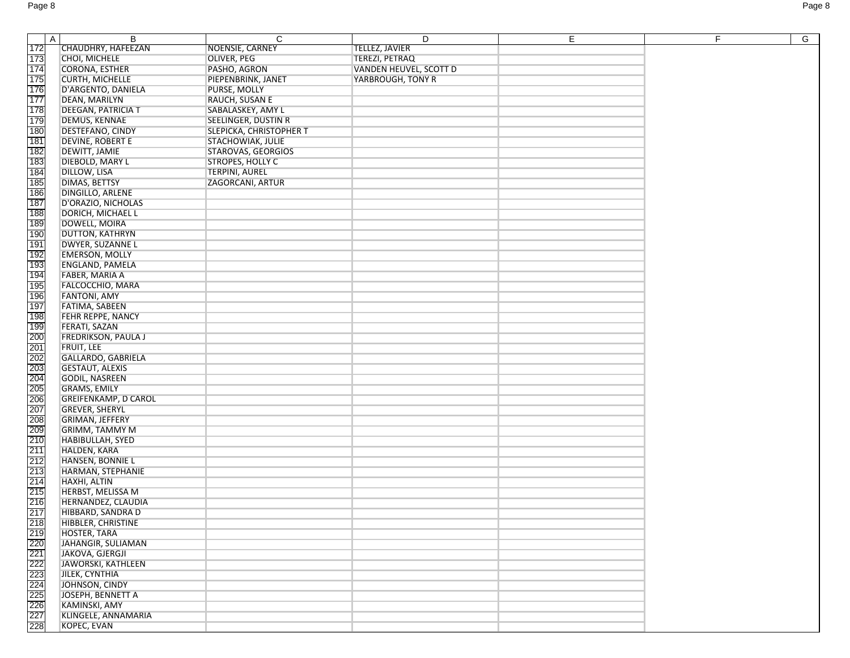| $\mathsf{A}$                                                | B                           | C                       | D                      | E | F | $\overline{G}$ |
|-------------------------------------------------------------|-----------------------------|-------------------------|------------------------|---|---|----------------|
| 172                                                         | CHAUDHRY, HAFEEZAN          | <b>NOENSIE, CARNEY</b>  | <b>TELLEZ, JAVIER</b>  |   |   |                |
| 173                                                         | CHOI, MICHELE               | OLIVER, PEG             | TEREZI, PETRAQ         |   |   |                |
| 174                                                         | CORONA, ESTHER              | PASHO, AGRON            | VANDEN HEUVEL, SCOTT D |   |   |                |
| 175                                                         | <b>CURTH, MICHELLE</b>      | PIEPENBRINK, JANET      | YARBROUGH, TONY R      |   |   |                |
| 176                                                         | D'ARGENTO, DANIELA          | PURSE, MOLLY            |                        |   |   |                |
| 177                                                         | <b>DEAN, MARILYN</b>        | <b>RAUCH, SUSAN E</b>   |                        |   |   |                |
| 178                                                         | <b>DEEGAN, PATRICIA T</b>   | SABALASKEY, AMY L       |                        |   |   |                |
| 179                                                         | <b>DEMUS, KENNAE</b>        | SEELINGER, DUSTIN R     |                        |   |   |                |
| 180                                                         | DESTEFANO, CINDY            | SLEPICKA, CHRISTOPHER T |                        |   |   |                |
| 181                                                         | <b>DEVINE, ROBERT E</b>     | STACHOWIAK, JULIE       |                        |   |   |                |
| 182                                                         | <b>DEWITT, JAMIE</b>        | STAROVAS, GEORGIOS      |                        |   |   |                |
|                                                             |                             |                         |                        |   |   |                |
| 183                                                         | DIEBOLD, MARY L             | STROPES, HOLLY C        |                        |   |   |                |
| 184                                                         | <b>DILLOW, LISA</b>         | <b>TERPINI, AUREL</b>   |                        |   |   |                |
| 185                                                         | DIMAS, BETTSY               | <b>ZAGORCANI, ARTUR</b> |                        |   |   |                |
| 186                                                         | DINGILLO, ARLENE            |                         |                        |   |   |                |
| 187                                                         | D'ORAZIO, NICHOLAS          |                         |                        |   |   |                |
| 188                                                         | DORICH, MICHAEL L           |                         |                        |   |   |                |
| 189                                                         | DOWELL, MOIRA               |                         |                        |   |   |                |
| 190                                                         | <b>DUTTON, KATHRYN</b>      |                         |                        |   |   |                |
| 191                                                         | DWYER, SUZANNE L            |                         |                        |   |   |                |
| 192                                                         | <b>EMERSON, MOLLY</b>       |                         |                        |   |   |                |
| 193                                                         | ENGLAND, PAMELA             |                         |                        |   |   |                |
| 194                                                         | <b>FABER, MARIA A</b>       |                         |                        |   |   |                |
| 195                                                         | FALCOCCHIO, MARA            |                         |                        |   |   |                |
| 196                                                         | <b>FANTONI, AMY</b>         |                         |                        |   |   |                |
| 197                                                         | <b>FATIMA, SABEEN</b>       |                         |                        |   |   |                |
| 198                                                         | <b>FEHR REPPE, NANCY</b>    |                         |                        |   |   |                |
| 199                                                         | FERATI, SAZAN               |                         |                        |   |   |                |
| 200                                                         | <b>FREDRIKSON, PAULA J</b>  |                         |                        |   |   |                |
| 201                                                         | <b>FRUIT, LEE</b>           |                         |                        |   |   |                |
| 202                                                         | GALLARDO, GABRIELA          |                         |                        |   |   |                |
| 203                                                         | <b>GESTAUT, ALEXIS</b>      |                         |                        |   |   |                |
| 204                                                         | <b>GODIL, NASREEN</b>       |                         |                        |   |   |                |
| 205                                                         | <b>GRAMS, EMILY</b>         |                         |                        |   |   |                |
| 206                                                         | <b>GREIFENKAMP, D CAROL</b> |                         |                        |   |   |                |
| 207                                                         | <b>GREVER, SHERYL</b>       |                         |                        |   |   |                |
| 208                                                         | <b>GRIMAN, JEFFERY</b>      |                         |                        |   |   |                |
| 209                                                         | <b>GRIMM, TAMMY M</b>       |                         |                        |   |   |                |
| 210                                                         | HABIBULLAH, SYED            |                         |                        |   |   |                |
| 211                                                         | HALDEN, KARA                |                         |                        |   |   |                |
| 212                                                         | HANSEN, BONNIE L            |                         |                        |   |   |                |
| 213                                                         | HARMAN, STEPHANIE           |                         |                        |   |   |                |
| 214                                                         | <b>HAXHI, ALTIN</b>         |                         |                        |   |   |                |
| 215                                                         | <b>HERBST, MELISSA M</b>    |                         |                        |   |   |                |
| 216                                                         | HERNANDEZ, CLAUDIA          |                         |                        |   |   |                |
| 217                                                         | HIBBARD, SANDRA D           |                         |                        |   |   |                |
|                                                             | HIBBLER, CHRISTINE          |                         |                        |   |   |                |
| 218<br>219<br>220<br>222<br>223<br>224<br>225<br>225<br>226 | HOSTER, TARA                |                         |                        |   |   |                |
|                                                             | <b>JAHANGIR, SULIAMAN</b>   |                         |                        |   |   |                |
|                                                             | JAKOVA, GJERGJI             |                         |                        |   |   |                |
|                                                             | JAWORSKI, KATHLEEN          |                         |                        |   |   |                |
|                                                             | JILEK, CYNTHIA              |                         |                        |   |   |                |
|                                                             | JOHNSON, CINDY              |                         |                        |   |   |                |
|                                                             | JOSEPH, BENNETT A           |                         |                        |   |   |                |
|                                                             | KAMINSKI, AMY               |                         |                        |   |   |                |
| $\frac{227}{228}$                                           | KLINGELE, ANNAMARIA         |                         |                        |   |   |                |
|                                                             | KOPEC, EVAN                 |                         |                        |   |   |                |
|                                                             |                             |                         |                        |   |   |                |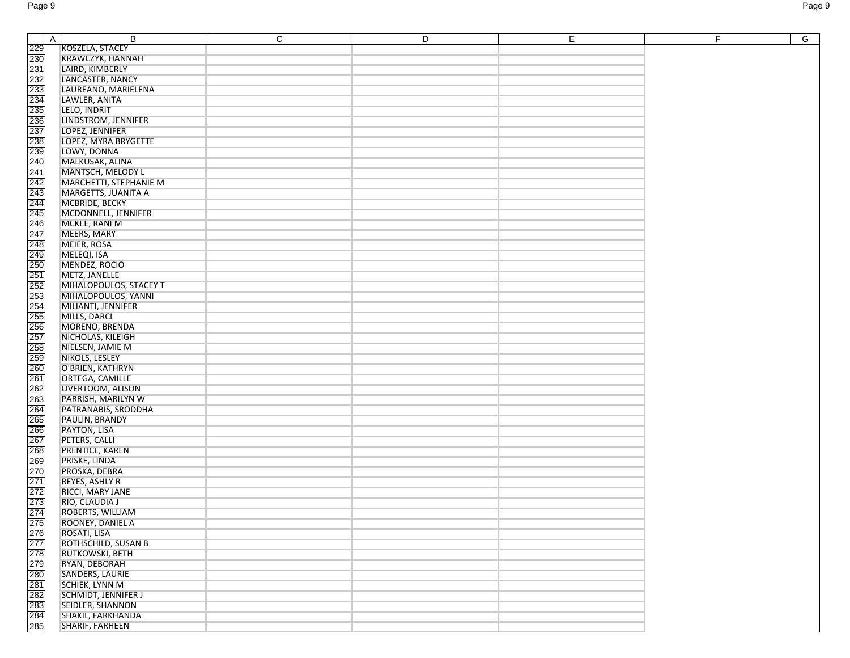| $\mathsf{A}$                                                                     | B                          | C | D | Е | F. | G |
|----------------------------------------------------------------------------------|----------------------------|---|---|---|----|---|
| 229                                                                              | KOSZELA, STACEY            |   |   |   |    |   |
|                                                                                  | <b>KRAWCZYK, HANNAH</b>    |   |   |   |    |   |
|                                                                                  | LAIRD, KIMBERLY            |   |   |   |    |   |
|                                                                                  | LANCASTER, NANCY           |   |   |   |    |   |
|                                                                                  | LAUREANO, MARIELENA        |   |   |   |    |   |
|                                                                                  | LAWLER, ANITA              |   |   |   |    |   |
|                                                                                  | LELO, INDRIT               |   |   |   |    |   |
|                                                                                  | LINDSTROM, JENNIFER        |   |   |   |    |   |
|                                                                                  | LOPEZ, JENNIFER            |   |   |   |    |   |
|                                                                                  | LOPEZ, MYRA BRYGETTE       |   |   |   |    |   |
|                                                                                  |                            |   |   |   |    |   |
|                                                                                  | LOWY, DONNA                |   |   |   |    |   |
|                                                                                  | MALKUSAK, ALINA            |   |   |   |    |   |
|                                                                                  | MANTSCH, MELODY L          |   |   |   |    |   |
|                                                                                  | MARCHETTI, STEPHANIE M     |   |   |   |    |   |
|                                                                                  | MARGETTS, JUANITA A        |   |   |   |    |   |
|                                                                                  | MCBRIDE, BECKY             |   |   |   |    |   |
|                                                                                  | MCDONNELL, JENNIFER        |   |   |   |    |   |
|                                                                                  | MCKEE, RANI M              |   |   |   |    |   |
|                                                                                  | MEERS, MARY                |   |   |   |    |   |
|                                                                                  | MEIER, ROSA                |   |   |   |    |   |
|                                                                                  | MELEQI, ISA                |   |   |   |    |   |
| <u>250</u>                                                                       | MENDEZ, ROCIO              |   |   |   |    |   |
| 251                                                                              | METZ, JANELLE              |   |   |   |    |   |
| 252<br>253<br>255<br>256                                                         | MIHALOPOULOS, STACEY T     |   |   |   |    |   |
|                                                                                  | MIHALOPOULOS, YANNI        |   |   |   |    |   |
|                                                                                  | MILIANTI, JENNIFER         |   |   |   |    |   |
|                                                                                  | MILLS, DARCI               |   |   |   |    |   |
|                                                                                  | MORENO, BRENDA             |   |   |   |    |   |
|                                                                                  | NICHOLAS, KILEIGH          |   |   |   |    |   |
| 257<br>258                                                                       | NIELSEN, JAMIE M           |   |   |   |    |   |
| 259<br>260                                                                       | NIKOLS, LESLEY             |   |   |   |    |   |
|                                                                                  | O'BRIEN, KATHRYN           |   |   |   |    |   |
| 261                                                                              | ORTEGA, CAMILLE            |   |   |   |    |   |
| 262<br>263                                                                       | OVERTOOM, ALISON           |   |   |   |    |   |
|                                                                                  | PARRISH, MARILYN W         |   |   |   |    |   |
| 264                                                                              | PATRANABIS, SRODDHA        |   |   |   |    |   |
| 265                                                                              | PAULIN, BRANDY             |   |   |   |    |   |
| 266                                                                              | PAYTON, LISA               |   |   |   |    |   |
| 267<br>268                                                                       | PETERS, CALLI              |   |   |   |    |   |
|                                                                                  | PRENTICE, KAREN            |   |   |   |    |   |
| 269                                                                              | PRISKE, LINDA              |   |   |   |    |   |
| 270                                                                              | PROSKA, DEBRA              |   |   |   |    |   |
| 271                                                                              | REYES, ASHLY R             |   |   |   |    |   |
| 272<br>273                                                                       | RICCI, MARY JANE           |   |   |   |    |   |
|                                                                                  | RIO, CLAUDIA J             |   |   |   |    |   |
|                                                                                  | ROBERTS, WILLIAM           |   |   |   |    |   |
|                                                                                  | ROONEY, DANIEL A           |   |   |   |    |   |
|                                                                                  | ROSATI, LISA               |   |   |   |    |   |
| 274<br>275<br>276<br>277<br>278<br>280<br>281<br>282<br>283<br>283<br>283<br>284 | ROTHSCHILD, SUSAN B        |   |   |   |    |   |
|                                                                                  | RUTKOWSKI, BETH            |   |   |   |    |   |
|                                                                                  | RYAN, DEBORAH              |   |   |   |    |   |
|                                                                                  | SANDERS, LAURIE            |   |   |   |    |   |
|                                                                                  | SCHIEK, LYNN M             |   |   |   |    |   |
|                                                                                  | <b>SCHMIDT, JENNIFER J</b> |   |   |   |    |   |
|                                                                                  | SEIDLER, SHANNON           |   |   |   |    |   |
|                                                                                  | SHAKIL, FARKHANDA          |   |   |   |    |   |
|                                                                                  | SHARIF, FARHEEN            |   |   |   |    |   |

 $\overline{G}$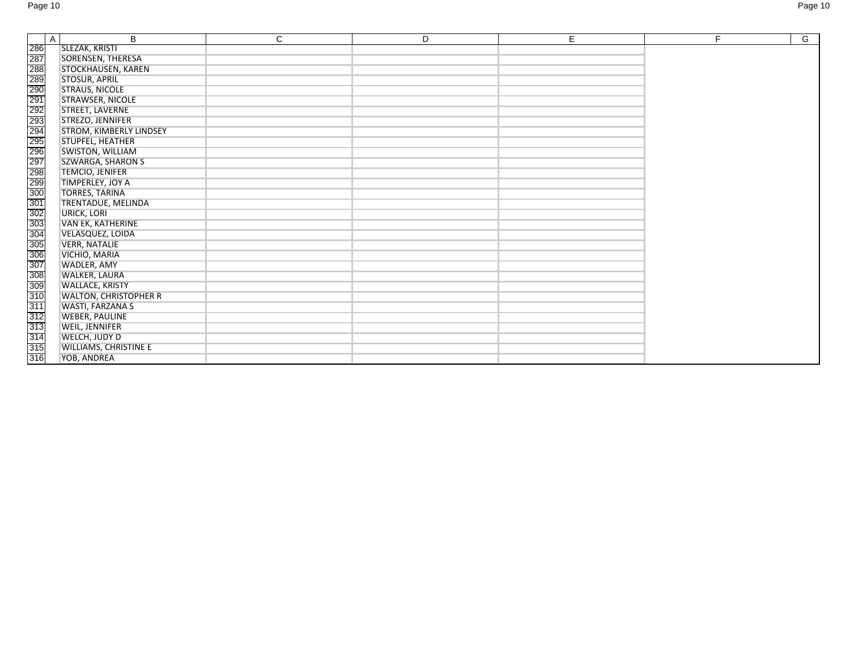| Page 10 | Page 10 |
|---------|---------|
|         |         |

|                                                                                             | $\mathsf{A}$ | B                              | $\mathsf{C}$ | D. | E. | F. | G |
|---------------------------------------------------------------------------------------------|--------------|--------------------------------|--------------|----|----|----|---|
| 286                                                                                         |              | SLEZAK, KRISTI                 |              |    |    |    |   |
| 287                                                                                         |              | SORENSEN, THERESA              |              |    |    |    |   |
|                                                                                             |              | <b>STOCKHAUSEN, KAREN</b>      |              |    |    |    |   |
|                                                                                             |              | <b>STOSUR, APRIL</b>           |              |    |    |    |   |
|                                                                                             |              | <b>STRAUS, NICOLE</b>          |              |    |    |    |   |
| <u> 일 일 이 없 이 없 이 없 이 없 이 없 없 때</u><br>이 이 없 이 없 이 없 없 이 있 일 이 없<br>그 이 없 이 있 없 같 않 이 있 것 같 |              | STRAWSER, NICOLE               |              |    |    |    |   |
|                                                                                             |              | STREET, LAVERNE                |              |    |    |    |   |
|                                                                                             |              | STREZO, JENNIFER               |              |    |    |    |   |
|                                                                                             |              | <b>STROM, KIMBERLY LINDSEY</b> |              |    |    |    |   |
|                                                                                             |              | STUPFEL, HEATHER               |              |    |    |    |   |
|                                                                                             |              | SWISTON, WILLIAM               |              |    |    |    |   |
|                                                                                             |              | <b>SZWARGA, SHARON S</b>       |              |    |    |    |   |
|                                                                                             |              | <b>TEMCIO, JENIFER</b>         |              |    |    |    |   |
|                                                                                             |              | TIMPERLEY, JOY A               |              |    |    |    |   |
|                                                                                             |              | <b>TORRES, TARINA</b>          |              |    |    |    |   |
|                                                                                             |              | TRENTADUE, MELINDA             |              |    |    |    |   |
|                                                                                             |              | <b>URICK, LORI</b>             |              |    |    |    |   |
|                                                                                             |              | VAN EK, KATHERINE              |              |    |    |    |   |
| $\frac{302}{303}$<br>$\frac{304}{305}$                                                      |              | VELASQUEZ, LOIDA               |              |    |    |    |   |
|                                                                                             |              | <b>VERR, NATALIE</b>           |              |    |    |    |   |
| 306<br>307<br>308                                                                           |              | VICHIO, MARIA                  |              |    |    |    |   |
|                                                                                             |              | WADLER, AMY                    |              |    |    |    |   |
|                                                                                             |              | WALKER, LAURA                  |              |    |    |    |   |
| $\frac{309}{310}$                                                                           |              | <b>WALLACE, KRISTY</b>         |              |    |    |    |   |
|                                                                                             |              | <b>WALTON, CHRISTOPHER R</b>   |              |    |    |    |   |
| 311                                                                                         |              | WASTI, FARZANA S               |              |    |    |    |   |
|                                                                                             |              | <b>WEBER, PAULINE</b>          |              |    |    |    |   |
| 312<br>313                                                                                  |              | WEIL, JENNIFER                 |              |    |    |    |   |
| $\frac{1}{314}$<br>$\frac{315}{316}$                                                        |              | WELCH, JUDY D                  |              |    |    |    |   |
|                                                                                             |              | <b>WILLIAMS, CHRISTINE E</b>   |              |    |    |    |   |
|                                                                                             |              | YOB, ANDREA                    |              |    |    |    |   |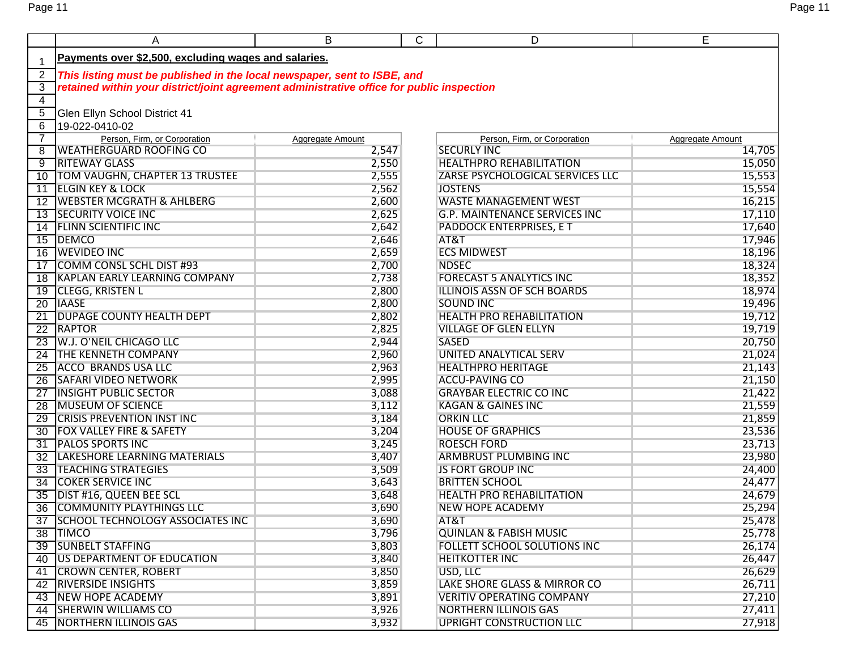Page 11 Page 11

|                     | A                                                                                                                                                                     | B                | $\mathsf{C}$ | D                                    | E                |  |  |  |  |
|---------------------|-----------------------------------------------------------------------------------------------------------------------------------------------------------------------|------------------|--------------|--------------------------------------|------------------|--|--|--|--|
|                     | Payments over \$2,500, excluding wages and salaries.                                                                                                                  |                  |              |                                      |                  |  |  |  |  |
| $\overline{1}$      |                                                                                                                                                                       |                  |              |                                      |                  |  |  |  |  |
| $\overline{2}$<br>3 | This listing must be published in the local newspaper, sent to ISBE, and<br>retained within your district/joint agreement administrative office for public inspection |                  |              |                                      |                  |  |  |  |  |
| 4                   |                                                                                                                                                                       |                  |              |                                      |                  |  |  |  |  |
| 5                   | Glen Ellyn School District 41                                                                                                                                         |                  |              |                                      |                  |  |  |  |  |
| 6                   | 19-022-0410-02                                                                                                                                                        |                  |              |                                      |                  |  |  |  |  |
| $\overline{7}$      | Person, Firm, or Corporation                                                                                                                                          | Aggregate Amount |              | Person, Firm, or Corporation         | Aggregate Amount |  |  |  |  |
| 8                   | <b>WEATHERGUARD ROOFING CO</b>                                                                                                                                        | 2,547            |              | <b>SECURLY INC</b>                   | 14,705           |  |  |  |  |
| -9                  | <b>RITEWAY GLASS</b>                                                                                                                                                  | 2,550            |              | <b>HEALTHPRO REHABILITATION</b>      | 15,050           |  |  |  |  |
| 10                  | TOM VAUGHN, CHAPTER 13 TRUSTEE                                                                                                                                        | 2,555            |              | ZARSE PSYCHOLOGICAL SERVICES LLC     | 15,553           |  |  |  |  |
| 11                  | <b>ELGIN KEY &amp; LOCK</b>                                                                                                                                           | 2,562            |              | <b>JOSTENS</b>                       | 15,554           |  |  |  |  |
| 12                  | <b>WEBSTER MCGRATH &amp; AHLBERG</b>                                                                                                                                  | 2,600            |              | <b>WASTE MANAGEMENT WEST</b>         | 16,215           |  |  |  |  |
| 13                  | <b>SECURITY VOICE INC</b>                                                                                                                                             | 2,625            |              | <b>G.P. MAINTENANCE SERVICES INC</b> | 17,110           |  |  |  |  |
| 14                  | <b>FLINN SCIENTIFIC INC</b>                                                                                                                                           | 2,642            |              | PADDOCK ENTERPRISES, E T             | 17,640           |  |  |  |  |
| 15                  | <b>DEMCO</b>                                                                                                                                                          | 2,646            |              | AT&T                                 | 17,946           |  |  |  |  |
| 16                  | <b>TWEVIDEO INC</b>                                                                                                                                                   | 2,659            |              | <b>ECS MIDWEST</b>                   | 18,196           |  |  |  |  |
| 17                  | <b>COMM CONSL SCHL DIST #93</b>                                                                                                                                       | 2,700            |              | <b>NDSEC</b>                         | 18,324           |  |  |  |  |
| 18                  | <b>KAPLAN EARLY LEARNING COMPANY</b>                                                                                                                                  | 2,738            |              | <b>FORECAST 5 ANALYTICS INC</b>      | 18,352           |  |  |  |  |
| 19                  | <b>CLEGG, KRISTEN L</b>                                                                                                                                               | 2,800            |              | <b>ILLINOIS ASSN OF SCH BOARDS</b>   | 18,974           |  |  |  |  |
| 20                  | <b>TIAASE</b>                                                                                                                                                         | 2,800            |              | <b>SOUND INC</b>                     | 19,496           |  |  |  |  |
| 21                  | <b>DUPAGE COUNTY HEALTH DEPT</b>                                                                                                                                      | 2,802            |              | <b>HEALTH PRO REHABILITATION</b>     | 19,712           |  |  |  |  |
| 22                  | <b>RAPTOR</b>                                                                                                                                                         | 2,825            |              | <b>VILLAGE OF GLEN ELLYN</b>         | 19,719           |  |  |  |  |
| 23                  | W.J. O'NEIL CHICAGO LLC                                                                                                                                               | 2,944            |              | <b>SASED</b>                         | 20,750           |  |  |  |  |
| 24                  | THE KENNETH COMPANY                                                                                                                                                   | 2,960            |              | UNITED ANALYTICAL SERV               | 21,024           |  |  |  |  |
| 25                  | <b>ACCO BRANDS USA LLC</b>                                                                                                                                            | 2,963            |              | <b>HEALTHPRO HERITAGE</b>            | 21,143           |  |  |  |  |
| 26                  | <b>SAFARI VIDEO NETWORK</b>                                                                                                                                           | 2,995            |              | <b>ACCU-PAVING CO</b>                | 21,150           |  |  |  |  |
| 27                  | <b>INSIGHT PUBLIC SECTOR</b>                                                                                                                                          | 3,088            |              | <b>GRAYBAR ELECTRIC CO INC</b>       | 21,422           |  |  |  |  |
| 28                  | <b>MUSEUM OF SCIENCE</b>                                                                                                                                              | 3,112            |              | <b>KAGAN &amp; GAINES INC</b>        | 21,559           |  |  |  |  |
| 29                  | <b>CRISIS PREVENTION INST INC</b>                                                                                                                                     | 3,184            |              | <b>ORKIN LLC</b>                     | 21,859           |  |  |  |  |
| 30                  | <b>FOX VALLEY FIRE &amp; SAFETY</b>                                                                                                                                   | 3,204            |              | <b>HOUSE OF GRAPHICS</b>             | 23,536           |  |  |  |  |
| 31                  | <b>PALOS SPORTS INC</b>                                                                                                                                               | 3,245            |              | <b>ROESCH FORD</b>                   | 23,713           |  |  |  |  |
| 32                  | <b>LAKESHORE LEARNING MATERIALS</b>                                                                                                                                   | 3,407            |              | <b>ARMBRUST PLUMBING INC</b>         | 23,980           |  |  |  |  |
| 33                  | <b>TEACHING STRATEGIES</b>                                                                                                                                            | 3,509            |              | <b>JS FORT GROUP INC</b>             | 24,400           |  |  |  |  |
| 34                  | <b>COKER SERVICE INC</b>                                                                                                                                              | 3,643            |              | <b>BRITTEN SCHOOL</b>                | 24,477           |  |  |  |  |
| 35                  | <b>DIST #16, QUEEN BEE SCL</b>                                                                                                                                        | 3,648            |              | <b>HEALTH PRO REHABILITATION</b>     | 24,679           |  |  |  |  |
|                     | 36 COMMUNITY PLAYTHINGS LLC                                                                                                                                           | 3,690            |              | <b>NEW HOPE ACADEMY</b>              | 25,294           |  |  |  |  |
|                     | 37 SCHOOL TECHNOLOGY ASSOCIATES INC                                                                                                                                   | 3,690            |              | AT&T                                 | 25,478           |  |  |  |  |
|                     | 38 TIMCO                                                                                                                                                              | 3,796            |              | <b>QUINLAN &amp; FABISH MUSIC</b>    | 25,778           |  |  |  |  |
|                     | <b>39 SUNBELT STAFFING</b>                                                                                                                                            | 3,803            |              | <b>FOLLETT SCHOOL SOLUTIONS INC</b>  | 26,174           |  |  |  |  |
|                     | 40 US DEPARTMENT OF EDUCATION                                                                                                                                         | 3,840            |              | <b>HEITKOTTER INC</b>                | 26,447           |  |  |  |  |
|                     | 41 CROWN CENTER, ROBERT                                                                                                                                               | 3,850            |              | USD, LLC                             | 26,629           |  |  |  |  |
|                     | 42 RIVERSIDE INSIGHTS                                                                                                                                                 | 3,859            |              | LAKE SHORE GLASS & MIRROR CO         | 26,711           |  |  |  |  |
|                     | 43 NEW HOPE ACADEMY                                                                                                                                                   | 3,891            |              | <b>VERITIV OPERATING COMPANY</b>     | 27,210           |  |  |  |  |
|                     | 44 SHERWIN WILLIAMS CO                                                                                                                                                | 3,926            |              | <b>NORTHERN ILLINOIS GAS</b>         | 27,411           |  |  |  |  |
|                     | 45 NORTHERN ILLINOIS GAS                                                                                                                                              | 3,932            |              | <b>UPRIGHT CONSTRUCTION LLC</b>      | 27,918           |  |  |  |  |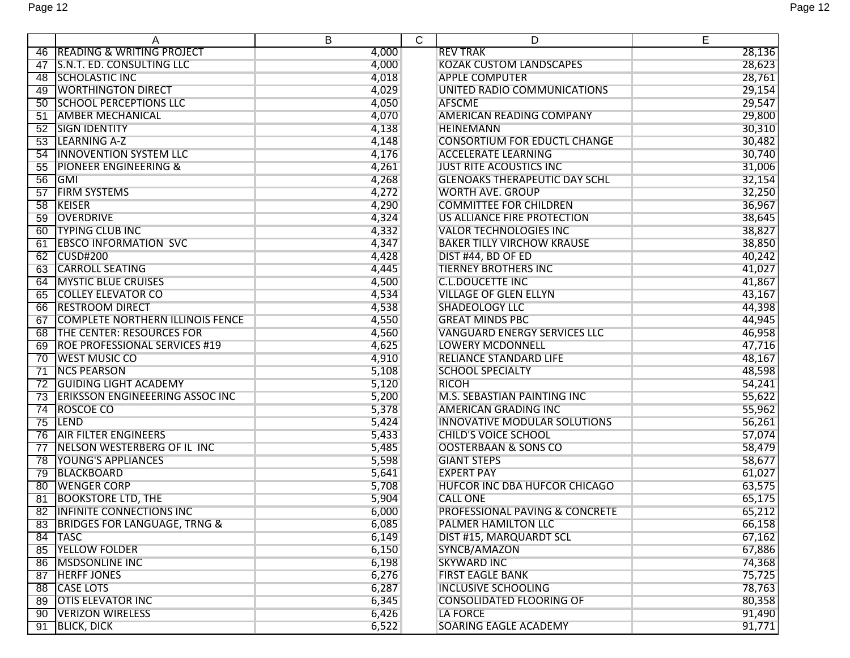|                 | A                                       | B     | C | D                                    | E      |
|-----------------|-----------------------------------------|-------|---|--------------------------------------|--------|
| 46              | <b>READING &amp; WRITING PROJECT</b>    | 4,000 |   | <b>REV TRAK</b>                      | 28,136 |
| 47              | S.N.T. ED. CONSULTING LLC               | 4,000 |   | <b>KOZAK CUSTOM LANDSCAPES</b>       | 28,623 |
| 48              | <b>SCHOLASTIC INC</b>                   | 4,018 |   | <b>APPLE COMPUTER</b>                | 28,761 |
| 49              | <b>WORTHINGTON DIRECT</b>               | 4,029 |   | UNITED RADIO COMMUNICATIONS          | 29,154 |
| 50              | <b>SCHOOL PERCEPTIONS LLC</b>           | 4,050 |   | <b>AFSCME</b>                        | 29,547 |
| 51              | <b>AMBER MECHANICAL</b>                 | 4,070 |   | <b>AMERICAN READING COMPANY</b>      | 29,800 |
| 52              | <b>SIGN IDENTITY</b>                    | 4,138 |   | <b>HEINEMANN</b>                     | 30,310 |
| 53              | <b>LEARNING A-Z</b>                     | 4,148 |   | <b>CONSORTIUM FOR EDUCTL CHANGE</b>  | 30,482 |
| 54              | <b>INNOVENTION SYSTEM LLC</b>           | 4,176 |   | <b>ACCELERATE LEARNING</b>           | 30,740 |
| 55              | <b>PIONEER ENGINEERING &amp;</b>        | 4,261 |   | <b>JUST RITE ACOUSTICS INC</b>       | 31,006 |
| 56              | <b>IGMI</b>                             | 4,268 |   | <b>GLENOAKS THERAPEUTIC DAY SCHL</b> | 32,154 |
| 57              | <b>FIRM SYSTEMS</b>                     | 4,272 |   | <b>WORTH AVE. GROUP</b>              | 32,250 |
| 58              | KEISER                                  | 4,290 |   | <b>COMMITTEE FOR CHILDREN</b>        | 36,967 |
| 59              | <b>OVERDRIVE</b>                        | 4,324 |   | US ALLIANCE FIRE PROTECTION          | 38,645 |
| 60              | <b>TYPING CLUB INC</b>                  | 4,332 |   | <b>VALOR TECHNOLOGIES INC</b>        | 38,827 |
| 61              | <b>EBSCO INFORMATION SVC</b>            | 4,347 |   | <b>BAKER TILLY VIRCHOW KRAUSE</b>    | 38,850 |
| 62              | CUSD#200                                | 4,428 |   | DIST #44, BD OF ED                   | 40,242 |
| 63              | <b>CARROLL SEATING</b>                  | 4,445 |   | <b>TIERNEY BROTHERS INC</b>          | 41,027 |
| 64              | <b>MYSTIC BLUE CRUISES</b>              | 4,500 |   | <b>C.L.DOUCETTE INC</b>              | 41,867 |
| 65              | <b>COLLEY ELEVATOR CO</b>               | 4,534 |   | <b>VILLAGE OF GLEN ELLYN</b>         | 43,167 |
| 66              | <b>RESTROOM DIRECT</b>                  | 4,538 |   | SHADEOLOGY LLC                       | 44,398 |
| 67              | <b>COMPLETE NORTHERN ILLINOIS FENCE</b> | 4,550 |   | <b>GREAT MINDS PBC</b>               | 44,945 |
| 68              | THE CENTER: RESOURCES FOR               | 4,560 |   | <b>VANGUARD ENERGY SERVICES LLC</b>  | 46,958 |
| 69              | <b>ROE PROFESSIONAL SERVICES #19</b>    | 4,625 |   | <b>LOWERY MCDONNELL</b>              | 47,716 |
| $\overline{70}$ | <b>WEST MUSIC CO</b>                    | 4,910 |   | <b>RELIANCE STANDARD LIFE</b>        | 48,167 |
| $\overline{71}$ | <b>NCS PEARSON</b>                      | 5,108 |   | <b>SCHOOL SPECIALTY</b>              | 48,598 |
| $\overline{72}$ | <b>GUIDING LIGHT ACADEMY</b>            | 5,120 |   | <b>RICOH</b>                         | 54,241 |
| 73              | <b>ERIKSSON ENGINEEERING ASSOC INC</b>  | 5,200 |   | M.S. SEBASTIAN PAINTING INC          | 55,622 |
| 74              | ROSCOE CO                               | 5,378 |   | <b>AMERICAN GRADING INC</b>          | 55,962 |
| 75              | <b>LEND</b>                             | 5,424 |   | <b>INNOVATIVE MODULAR SOLUTIONS</b>  | 56,261 |
| 76              | <b>AIR FILTER ENGINEERS</b>             | 5,433 |   | <b>CHILD'S VOICE SCHOOL</b>          | 57,074 |
| 77              | NELSON WESTERBERG OF IL INC             | 5,485 |   | <b>OOSTERBAAN &amp; SONS CO</b>      | 58,479 |
| $\overline{78}$ | <b>YOUNG'S APPLIANCES</b>               | 5,598 |   | <b>GIANT STEPS</b>                   | 58,677 |
| 79              | BLACKBOARD                              | 5,641 |   | <b>EXPERT PAY</b>                    | 61,027 |
| 80              | <b>WENGER CORP</b>                      | 5,708 |   | HUFCOR INC DBA HUFCOR CHICAGO        | 63,575 |
| 81              | <b>BOOKSTORE LTD, THE</b>               | 5,904 |   | <b>CALL ONE</b>                      | 65,175 |
| 82              | <b>INFINITE CONNECTIONS INC</b>         | 6,000 |   | PROFESSIONAL PAVING & CONCRETE       | 65,212 |
|                 | 83 BRIDGES FOR LANGUAGE, TRNG &         | 6,085 |   | PALMER HAMILTON LLC                  | 66,158 |
|                 | 84 TASC                                 | 6,149 |   | DIST #15, MARQUARDT SCL              | 67,162 |
|                 | 85 YELLOW FOLDER                        | 6,150 |   | SYNCB/AMAZON                         | 67,886 |
|                 | 86 MSDSONLINE INC                       | 6,198 |   | <b>SKYWARD INC</b>                   | 74,368 |
|                 | 87 HERFF JONES                          | 6,276 |   | <b>FIRST EAGLE BANK</b>              | 75,725 |
|                 | 88 CASE LOTS                            | 6,287 |   | <b>INCLUSIVE SCHOOLING</b>           | 78,763 |
|                 | <b>89 OTIS ELEVATOR INC</b>             | 6,345 |   | <b>CONSOLIDATED FLOORING OF</b>      | 80,358 |
|                 | 90 VERIZON WIRELESS                     | 6,426 |   | <b>LA FORCE</b>                      | 91,490 |
|                 | 91 BLICK, DICK                          | 6,522 |   | SOARING EAGLE ACADEMY                | 91,771 |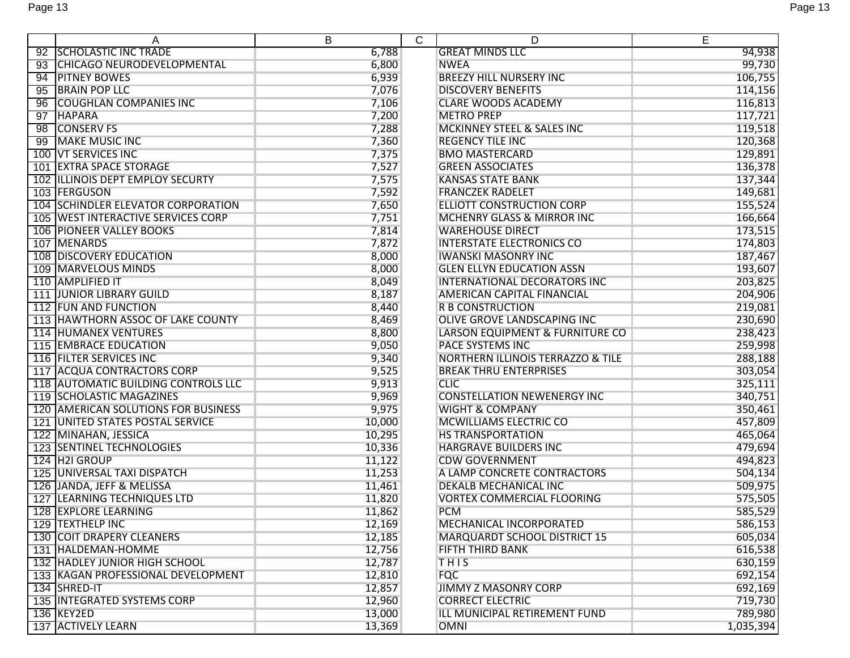|     | Α                                      | B      | C | D                                          | E         |
|-----|----------------------------------------|--------|---|--------------------------------------------|-----------|
| 92  | <b>SCHOLASTIC INC TRADE</b>            | 6,788  |   | <b>GREAT MINDS LLC</b>                     | 94,938    |
| 93  | CHICAGO NEURODEVELOPMENTAL             | 6,800  |   | <b>NWEA</b>                                | 99,730    |
| 94  | <b>PITNEY BOWES</b>                    | 6,939  |   | <b>BREEZY HILL NURSERY INC</b>             | 106,755   |
| 95  | <b>BRAIN POP LLC</b>                   | 7,076  |   | <b>DISCOVERY BENEFITS</b>                  | 114,156   |
| 96  | <b>COUGHLAN COMPANIES INC</b>          | 7,106  |   | <b>CLARE WOODS ACADEMY</b>                 | 116,813   |
| 97  | <b>HAPARA</b>                          | 7,200  |   | <b>METRO PREP</b>                          | 117,721   |
| 98  | <b>CONSERV FS</b>                      | 7,288  |   | MCKINNEY STEEL & SALES INC                 | 119,518   |
| 99  | <b>MAKE MUSIC INC</b>                  | 7,360  |   | <b>REGENCY TILE INC</b>                    | 120,368   |
| 100 | <b>TVT SERVICES INC</b>                | 7,375  |   | <b>BMO MASTERCARD</b>                      | 129,891   |
| 101 | <b>EXTRA SPACE STORAGE</b>             | 7,527  |   | <b>GREEN ASSOCIATES</b>                    | 136,378   |
| 102 | <b>ILLINOIS DEPT EMPLOY SECURTY</b>    | 7,575  |   | <b>KANSAS STATE BANK</b>                   | 137,344   |
|     | 103 FERGUSON                           | 7,592  |   | <b>FRANCZEK RADELET</b>                    | 149,681   |
|     | 104 SCHINDLER ELEVATOR CORPORATION     | 7,650  |   | ELLIOTT CONSTRUCTION CORP                  | 155,524   |
|     | 105 WEST INTERACTIVE SERVICES CORP     | 7,751  |   | MCHENRY GLASS & MIRROR INC                 | 166,664   |
|     | <b>106 PIONEER VALLEY BOOKS</b>        | 7,814  |   | <b>WAREHOUSE DIRECT</b>                    | 173,515   |
|     | 107 MENARDS                            | 7,872  |   | <b>INTERSTATE ELECTRONICS CO</b>           | 174,803   |
|     | <b>108 DISCOVERY EDUCATION</b>         | 8,000  |   | <b>IWANSKI MASONRY INC</b>                 | 187,467   |
|     | 109 MARVELOUS MINDS                    | 8,000  |   | <b>GLEN ELLYN EDUCATION ASSN</b>           | 193,607   |
|     | 110 AMPLIFIED IT                       | 8,049  |   | INTERNATIONAL DECORATORS INC               | 203,825   |
|     | <b>111 JUNIOR LIBRARY GUILD</b>        | 8,187  |   | AMERICAN CAPITAL FINANCIAL                 | 204,906   |
|     | 112 FUN AND FUNCTION                   | 8,440  |   | <b>R B CONSTRUCTION</b>                    | 219,081   |
|     | 113 HAWTHORN ASSOC OF LAKE COUNTY      | 8,469  |   | OLIVE GROVE LANDSCAPING INC                | 230,690   |
|     | <b>114 HUMANEX VENTURES</b>            | 8,800  |   | <b>LARSON EQUIPMENT &amp; FURNITURE CO</b> | 238,423   |
|     | <b>115 EMBRACE EDUCATION</b>           | 9,050  |   | PACE SYSTEMS INC                           | 259,998   |
|     | 116 FILTER SERVICES INC                | 9,340  |   | NORTHERN ILLINOIS TERRAZZO & TILE          | 288,188   |
| 117 | <b>ACQUA CONTRACTORS CORP</b>          | 9,525  |   | <b>BREAK THRU ENTERPRISES</b>              | 303,054   |
|     | 118 AUTOMATIC BUILDING CONTROLS LLC    | 9,913  |   | <b>CLIC</b>                                | 325,111   |
|     | 119 SCHOLASTIC MAGAZINES               | 9,969  |   | <b>CONSTELLATION NEWENERGY INC</b>         | 340,751   |
| 120 | <b>AMERICAN SOLUTIONS FOR BUSINESS</b> | 9,975  |   | <b>WIGHT &amp; COMPANY</b>                 | 350,461   |
| 121 | UNITED STATES POSTAL SERVICE           | 10,000 |   | MCWILLIAMS ELECTRIC CO                     | 457,809   |
| 122 | MINAHAN, JESSICA                       | 10,295 |   | <b>HS TRANSPORTATION</b>                   | 465,064   |
| 123 | <b>SENTINEL TECHNOLOGIES</b>           | 10,336 |   | <b>HARGRAVE BUILDERS INC</b>               | 479,694   |
|     | 124 H2I GROUP                          | 11,122 |   | <b>CDW GOVERNMENT</b>                      | 494,823   |
| 125 | UNIVERSAL TAXI DISPATCH                | 11,253 |   | A LAMP CONCRETE CONTRACTORS                | 504,134   |
|     | 126 JANDA, JEFF & MELISSA              | 11,461 |   | DEKALB MECHANICAL INC                      | 509,975   |
| 127 | <b>LEARNING TECHNIQUES LTD</b>         | 11,820 |   | <b>VORTEX COMMERCIAL FLOORING</b>          | 575,505   |
|     | 128 EXPLORE LEARNING                   | 11,862 |   | <b>PCM</b>                                 | 585,529   |
|     | 129 TEXTHELP INC                       | 12,169 |   | MECHANICAL INCORPORATED                    | 586,153   |
|     | 130 COIT DRAPERY CLEANERS              | 12,185 |   | <b>MARQUARDT SCHOOL DISTRICT 15</b>        | 605,034   |
|     | 131 HALDEMAN-HOMME                     | 12,756 |   | <b>FIFTH THIRD BANK</b>                    | 616,538   |
|     | <b>132 HADLEY JUNIOR HIGH SCHOOL</b>   | 12,787 |   | THIS                                       | 630,159   |
|     | 133 KAGAN PROFESSIONAL DEVELOPMENT     | 12,810 |   | <b>FQC</b>                                 | 692,154   |
|     | 134 SHRED-IT                           | 12,857 |   | <b>JIMMY Z MASONRY CORP</b>                | 692,169   |
|     | 135 INTEGRATED SYSTEMS CORP            | 12,960 |   | <b>CORRECT ELECTRIC</b>                    | 719,730   |
|     | 136 KEY2ED                             | 13,000 |   | ILL MUNICIPAL RETIREMENT FUND              | 789,980   |
|     | 137 ACTIVELY LEARN                     | 13,369 |   | <b>OMNI</b>                                | 1,035,394 |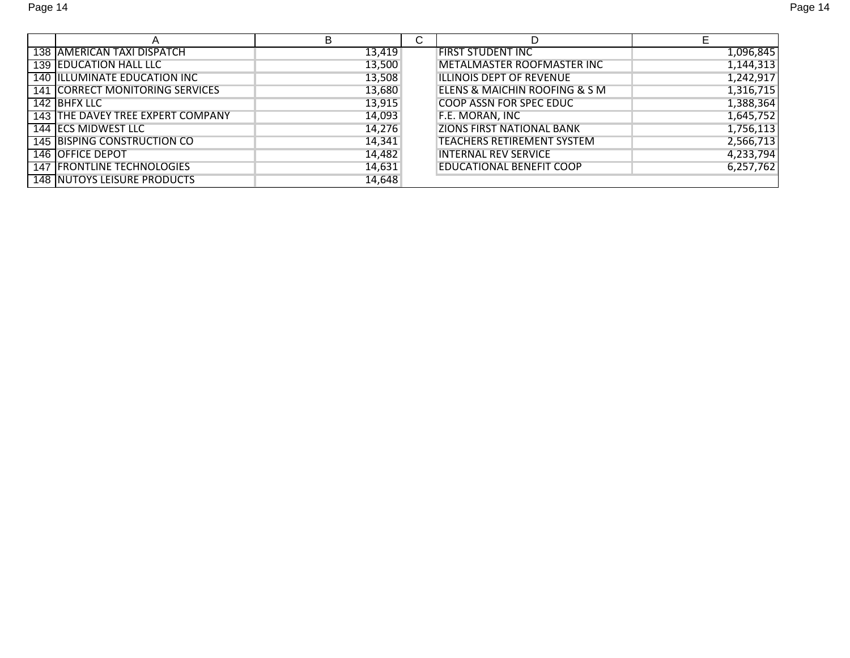|                                     | в      | $\sim$<br>◡ | D                                 |           |
|-------------------------------------|--------|-------------|-----------------------------------|-----------|
| 138 AMERICAN TAXI DISPATCH          | 13,419 |             | <b>FIRST STUDENT INC</b>          | 1,096,845 |
| 139 EDUCATION HALL LLC              | 13,500 |             | <b>METALMASTER ROOFMASTER INC</b> | 1,144,313 |
| <b>140 ILLUMINATE EDUCATION INC</b> | 13,508 |             | <b>ILLINOIS DEPT OF REVENUE</b>   | 1,242,917 |
| 141 CORRECT MONITORING SERVICES     | 13,680 |             | ELENS & MAICHIN ROOFING & S M     | 1,316,715 |
| 142 BHFX LLC                        | 13,915 |             | <b>COOP ASSN FOR SPEC EDUC</b>    | 1,388,364 |
| 143 THE DAVEY TREE EXPERT COMPANY   | 14,093 |             | F.E. MORAN, INC                   | 1,645,752 |
| 144 ECS MIDWEST LLC                 | 14,276 |             | ZIONS FIRST NATIONAL BANK         | 1,756,113 |
| 145 BISPING CONSTRUCTION CO         | 14,341 |             | <b>TEACHERS RETIREMENT SYSTEM</b> | 2,566,713 |
| <b>146 OFFICE DEPOT</b>             | 14,482 |             | <b>INTERNAL REV SERVICE</b>       | 4,233,794 |
| 147 FRONTLINE TECHNOLOGIES          | 14,631 |             | <b>EDUCATIONAL BENEFIT COOP</b>   | 6,257,762 |
| <b>148 INUTOYS LEISURE PRODUCTS</b> | 14,648 |             |                                   |           |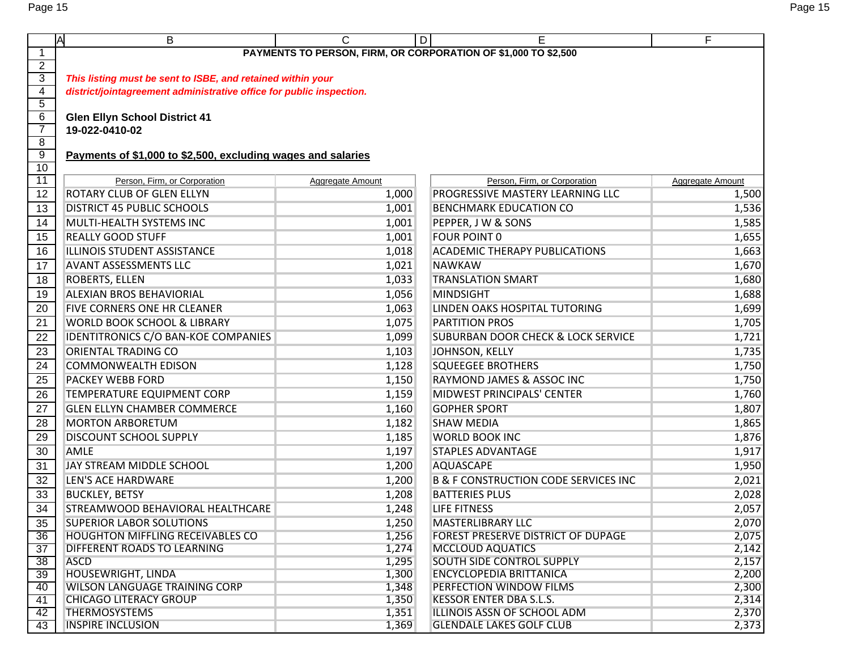|                      | A<br>В                                                               | C                       | Е<br>D                                          | F                |  |  |  |  |  |  |
|----------------------|----------------------------------------------------------------------|-------------------------|-------------------------------------------------|------------------|--|--|--|--|--|--|
| 1                    | PAYMENTS TO PERSON, FIRM, OR CORPORATION OF \$1,000 TO \$2,500       |                         |                                                 |                  |  |  |  |  |  |  |
| $\overline{2}$       |                                                                      |                         |                                                 |                  |  |  |  |  |  |  |
| $\overline{3}$       | This listing must be sent to ISBE, and retained within your          |                         |                                                 |                  |  |  |  |  |  |  |
| $\overline{4}$       | district/jointagreement administrative office for public inspection. |                         |                                                 |                  |  |  |  |  |  |  |
| $\overline{5}$       |                                                                      |                         |                                                 |                  |  |  |  |  |  |  |
| 6                    | <b>Glen Ellyn School District 41</b>                                 |                         |                                                 |                  |  |  |  |  |  |  |
| $\overline{7}$       | 19-022-0410-02                                                       |                         |                                                 |                  |  |  |  |  |  |  |
| $\overline{8}$       |                                                                      |                         |                                                 |                  |  |  |  |  |  |  |
| $\overline{9}$<br>10 | Payments of \$1,000 to \$2,500, excluding wages and salaries         |                         |                                                 |                  |  |  |  |  |  |  |
| 11                   | Person, Firm, or Corporation                                         | <b>Aggregate Amount</b> | Person, Firm, or Corporation                    | Aggregate Amount |  |  |  |  |  |  |
| 12                   | ROTARY CLUB OF GLEN ELLYN                                            | 1,000                   | PROGRESSIVE MASTERY LEARNING LLC                | 1,500            |  |  |  |  |  |  |
| 13                   | <b>DISTRICT 45 PUBLIC SCHOOLS</b>                                    | 1,001                   | <b>BENCHMARK EDUCATION CO</b>                   | 1,536            |  |  |  |  |  |  |
| 14                   | MULTI-HEALTH SYSTEMS INC                                             | 1,001                   | PEPPER, J W & SONS                              | 1,585            |  |  |  |  |  |  |
| 15                   | <b>REALLY GOOD STUFF</b>                                             | 1,001                   | <b>FOUR POINT 0</b>                             | 1,655            |  |  |  |  |  |  |
| 16                   | <b>ILLINOIS STUDENT ASSISTANCE</b>                                   | 1,018                   | <b>ACADEMIC THERAPY PUBLICATIONS</b>            | 1,663            |  |  |  |  |  |  |
| 17                   | <b>AVANT ASSESSMENTS LLC</b>                                         | 1,021                   | <b>NAWKAW</b>                                   | 1,670            |  |  |  |  |  |  |
| 18                   | ROBERTS, ELLEN                                                       | 1,033                   | <b>TRANSLATION SMART</b>                        | 1,680            |  |  |  |  |  |  |
| 19                   | <b>ALEXIAN BROS BEHAVIORIAL</b>                                      | 1,056                   | <b>MINDSIGHT</b>                                | 1,688            |  |  |  |  |  |  |
| 20                   | FIVE CORNERS ONE HR CLEANER                                          | 1,063                   | LINDEN OAKS HOSPITAL TUTORING                   | 1,699            |  |  |  |  |  |  |
| 21                   | <b>WORLD BOOK SCHOOL &amp; LIBRARY</b>                               | 1,075                   | <b>PARTITION PROS</b>                           | 1,705            |  |  |  |  |  |  |
| 22                   | <b>IDENTITRONICS C/O BAN-KOE COMPANIES</b>                           | 1,099                   | <b>SUBURBAN DOOR CHECK &amp; LOCK SERVICE</b>   | 1,721            |  |  |  |  |  |  |
| 23                   | <b>ORIENTAL TRADING CO</b>                                           | 1,103                   | JOHNSON, KELLY                                  | 1,735            |  |  |  |  |  |  |
| 24                   | <b>COMMONWEALTH EDISON</b>                                           | 1,128                   | <b>SQUEEGEE BROTHERS</b>                        | 1,750            |  |  |  |  |  |  |
| 25                   | PACKEY WEBB FORD                                                     | 1,150                   | RAYMOND JAMES & ASSOC INC                       | 1,750            |  |  |  |  |  |  |
| 26                   | <b>TEMPERATURE EQUIPMENT CORP</b>                                    | 1,159                   | MIDWEST PRINCIPALS' CENTER                      | 1,760            |  |  |  |  |  |  |
| 27                   | <b>GLEN ELLYN CHAMBER COMMERCE</b>                                   | 1,160                   | <b>GOPHER SPORT</b>                             | 1,807            |  |  |  |  |  |  |
| 28                   | <b>MORTON ARBORETUM</b>                                              | 1,182                   | <b>SHAW MEDIA</b>                               | 1,865            |  |  |  |  |  |  |
| 29                   | <b>DISCOUNT SCHOOL SUPPLY</b>                                        | 1,185                   | <b>WORLD BOOK INC</b>                           | 1,876            |  |  |  |  |  |  |
| 30                   | <b>AMLE</b>                                                          | 1,197                   | <b>STAPLES ADVANTAGE</b>                        | 1,917            |  |  |  |  |  |  |
| 31                   | JAY STREAM MIDDLE SCHOOL                                             | 1,200                   | <b>AQUASCAPE</b>                                | 1,950            |  |  |  |  |  |  |
| 32                   | LEN'S ACE HARDWARE                                                   | 1,200                   | <b>B &amp; F CONSTRUCTION CODE SERVICES INC</b> | 2,021            |  |  |  |  |  |  |
| 33                   | <b>BUCKLEY, BETSY</b>                                                | 1,208                   | <b>BATTERIES PLUS</b>                           | 2,028            |  |  |  |  |  |  |
| 34                   | STREAMWOOD BEHAVIORAL HEALTHCARE                                     | 1,248                   | LIFE FITNESS                                    | 2,057            |  |  |  |  |  |  |
| 35                   | <b>SUPERIOR LABOR SOLUTIONS</b>                                      | 1,250                   | MASTERLIBRARY LLC                               | 2,070            |  |  |  |  |  |  |
| 36                   | <b>HOUGHTON MIFFLING RECEIVABLES CO</b>                              | 1,256                   | FOREST PRESERVE DISTRICT OF DUPAGE              | 2,075            |  |  |  |  |  |  |
| 37                   | DIFFERENT ROADS TO LEARNING                                          | 1,274                   | <b>MCCLOUD AQUATICS</b>                         | 2,142            |  |  |  |  |  |  |
| 38                   | <b>ASCD</b>                                                          | 1,295                   | SOUTH SIDE CONTROL SUPPLY                       | 2,157            |  |  |  |  |  |  |
| 39                   | <b>HOUSEWRIGHT, LINDA</b>                                            | 1,300                   | <b>ENCYCLOPEDIA BRITTANICA</b>                  | 2,200            |  |  |  |  |  |  |
| 40                   | <b>WILSON LANGUAGE TRAINING CORP</b>                                 | 1,348                   | PERFECTION WINDOW FILMS                         | 2,300            |  |  |  |  |  |  |
| 41                   | <b>CHICAGO LITERACY GROUP</b>                                        | 1,350                   | <b>KESSOR ENTER DBA S.L.S.</b>                  | 2,314            |  |  |  |  |  |  |
| 42                   | <b>THERMOSYSTEMS</b>                                                 | 1,351                   | ILLINOIS ASSN OF SCHOOL ADM                     | 2,370            |  |  |  |  |  |  |
| 43                   | <b>INSPIRE INCLUSION</b>                                             | 1,369                   | <b>GLENDALE LAKES GOLF CLUB</b>                 | 2,373            |  |  |  |  |  |  |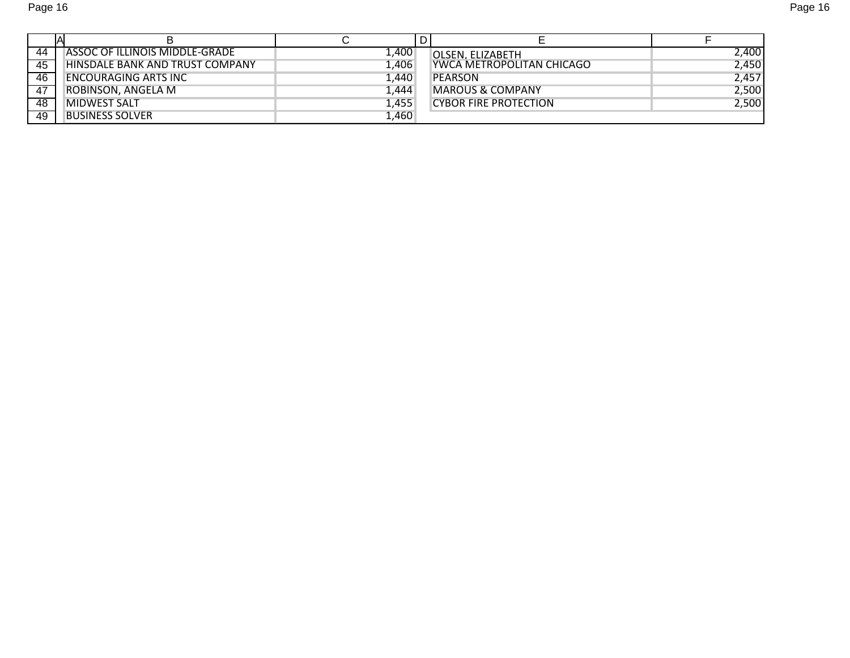|    |                                        |       | D |                              |       |
|----|----------------------------------------|-------|---|------------------------------|-------|
| 44 | ASSOC OF ILLINOIS MIDDLE-GRADE         | 1,400 |   | OLSEN. ELIZABETH             | 2,400 |
| 45 | <b>HINSDALE BANK AND TRUST COMPANY</b> | 1,406 |   | YWCA METROPOLITAN CHICAGO    | 2,450 |
| 46 | <b>ENCOURAGING ARTS INC</b>            | 1,440 |   | <b>PEARSON</b>               | 2.457 |
| 47 | <b>ROBINSON, ANGELA M</b>              | 1,444 |   | <b>MAROUS &amp; COMPANY</b>  | 2,500 |
| 48 | <b>MIDWEST SALT</b>                    | 1,455 |   | <b>CYBOR FIRE PROTECTION</b> | 2,500 |
| 49 | <b>BUSINESS SOLVER</b>                 | 1,460 |   |                              |       |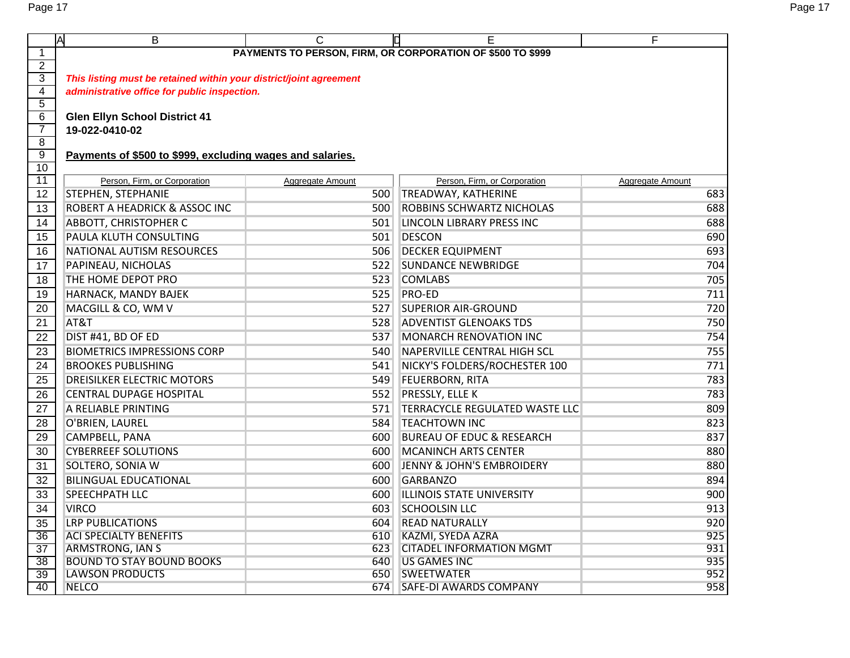|                                  | A<br>B                                                             | C                                                          | Е                                    | F                       |  |  |  |  |  |
|----------------------------------|--------------------------------------------------------------------|------------------------------------------------------------|--------------------------------------|-------------------------|--|--|--|--|--|
| 1                                |                                                                    | PAYMENTS TO PERSON, FIRM, OR CORPORATION OF \$500 TO \$999 |                                      |                         |  |  |  |  |  |
| $\overline{2}$                   |                                                                    |                                                            |                                      |                         |  |  |  |  |  |
| $\overline{3}$                   | This listing must be retained within your district/joint agreement |                                                            |                                      |                         |  |  |  |  |  |
| $\overline{4}$<br>$\overline{5}$ | administrative office for public inspection.                       |                                                            |                                      |                         |  |  |  |  |  |
| $\overline{6}$                   | <b>Glen Ellyn School District 41</b>                               |                                                            |                                      |                         |  |  |  |  |  |
| $\overline{7}$                   | 19-022-0410-02                                                     |                                                            |                                      |                         |  |  |  |  |  |
| $\overline{8}$                   |                                                                    |                                                            |                                      |                         |  |  |  |  |  |
| $\overline{9}$                   | Payments of \$500 to \$999, excluding wages and salaries.          |                                                            |                                      |                         |  |  |  |  |  |
| 10                               |                                                                    |                                                            |                                      |                         |  |  |  |  |  |
| 11                               | Person, Firm, or Corporation                                       | Aggregate Amount                                           | Person, Firm, or Corporation         | <b>Aggregate Amount</b> |  |  |  |  |  |
| $\overline{12}$                  | STEPHEN, STEPHANIE                                                 | 500                                                        | TREADWAY, KATHERINE                  | 683                     |  |  |  |  |  |
| 13                               | ROBERT A HEADRICK & ASSOC INC                                      | 500                                                        | ROBBINS SCHWARTZ NICHOLAS            | 688                     |  |  |  |  |  |
| 14                               | <b>ABBOTT, CHRISTOPHER C</b>                                       | 501                                                        | LINCOLN LIBRARY PRESS INC            | 688                     |  |  |  |  |  |
| 15                               | PAULA KLUTH CONSULTING                                             | 501                                                        | <b>DESCON</b>                        | 690                     |  |  |  |  |  |
| 16                               | NATIONAL AUTISM RESOURCES                                          | 506                                                        | <b>DECKER EQUIPMENT</b>              | 693                     |  |  |  |  |  |
| 17                               | PAPINEAU, NICHOLAS                                                 | 522                                                        | <b>SUNDANCE NEWBRIDGE</b>            | 704                     |  |  |  |  |  |
| 18                               | THE HOME DEPOT PRO                                                 | 523                                                        | <b>COMLABS</b>                       | 705                     |  |  |  |  |  |
| 19                               | HARNACK, MANDY BAJEK                                               | 525                                                        | PRO-ED                               | 711                     |  |  |  |  |  |
| 20                               | MACGILL & CO, WM V                                                 | 527                                                        | <b>SUPERIOR AIR-GROUND</b>           | 720                     |  |  |  |  |  |
| 21                               | AT&T                                                               | 528                                                        | <b>ADVENTIST GLENOAKS TDS</b>        | 750                     |  |  |  |  |  |
| 22                               | DIST #41, BD OF ED                                                 | 537                                                        | <b>MONARCH RENOVATION INC</b>        | 754                     |  |  |  |  |  |
| 23                               | <b>BIOMETRICS IMPRESSIONS CORP</b>                                 | 540                                                        | NAPERVILLE CENTRAL HIGH SCL          | 755                     |  |  |  |  |  |
| 24                               | <b>BROOKES PUBLISHING</b>                                          | 541                                                        | NICKY'S FOLDERS/ROCHESTER 100        | 771                     |  |  |  |  |  |
| $\overline{25}$                  | DREISILKER ELECTRIC MOTORS                                         | 549                                                        | <b>FEUERBORN, RITA</b>               | 783                     |  |  |  |  |  |
| 26                               | <b>CENTRAL DUPAGE HOSPITAL</b>                                     | 552                                                        | PRESSLY, ELLE K                      | 783                     |  |  |  |  |  |
| 27                               | A RELIABLE PRINTING                                                | 571                                                        | TERRACYCLE REGULATED WASTE LLC       | 809                     |  |  |  |  |  |
| 28                               | O'BRIEN, LAUREL                                                    | 584                                                        | <b>TEACHTOWN INC</b>                 | 823                     |  |  |  |  |  |
| 29                               | CAMPBELL, PANA                                                     | 600                                                        | <b>BUREAU OF EDUC &amp; RESEARCH</b> | 837                     |  |  |  |  |  |
| 30                               | <b>CYBERREEF SOLUTIONS</b>                                         | 600                                                        | <b>MCANINCH ARTS CENTER</b>          | 880                     |  |  |  |  |  |
| 31                               | SOLTERO, SONIA W                                                   | 600                                                        | <b>JENNY &amp; JOHN'S EMBROIDERY</b> | 880                     |  |  |  |  |  |
| 32                               | <b>BILINGUAL EDUCATIONAL</b>                                       | 600                                                        | <b>GARBANZO</b>                      | 894                     |  |  |  |  |  |
| 33                               | SPEECHPATH LLC                                                     | 600                                                        | ILLINOIS STATE UNIVERSITY            | 900                     |  |  |  |  |  |
| 34                               | <b>VIRCO</b>                                                       | 603                                                        | SCHOOLSIN LLC                        | 913                     |  |  |  |  |  |
| 35                               | <b>LRP PUBLICATIONS</b>                                            | 604                                                        | <b>READ NATURALLY</b>                | 920                     |  |  |  |  |  |
| 36                               | <b>ACI SPECIALTY BENEFITS</b>                                      | 610                                                        | KAZMI, SYEDA AZRA                    | 925                     |  |  |  |  |  |
| 37                               | <b>ARMSTRONG, IAN S</b>                                            | 623                                                        | <b>CITADEL INFORMATION MGMT</b>      | 931                     |  |  |  |  |  |
| 38                               | <b>BOUND TO STAY BOUND BOOKS</b>                                   | 640                                                        | <b>US GAMES INC</b>                  | 935                     |  |  |  |  |  |
| 39                               | <b>LAWSON PRODUCTS</b>                                             | 650                                                        | SWEETWATER                           | 952                     |  |  |  |  |  |
| 40                               | <b>NELCO</b>                                                       | 674                                                        | SAFE-DI AWARDS COMPANY               | 958                     |  |  |  |  |  |